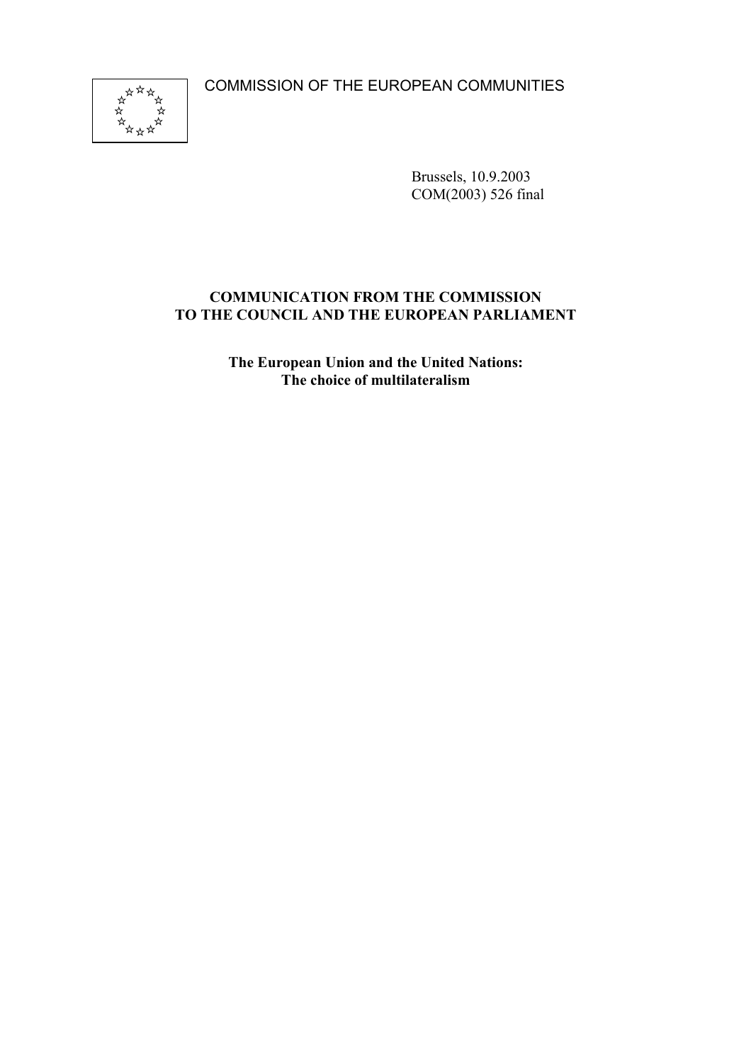COMMISSION OF THE EUROPEAN COMMUNITIES



Brussels, 10.9.2003 COM(2003) 526 final

### **COMMUNICATION FROM THE COMMISSION TO THE COUNCIL AND THE EUROPEAN PARLIAMENT**

**The European Union and the United Nations: The choice of multilateralism**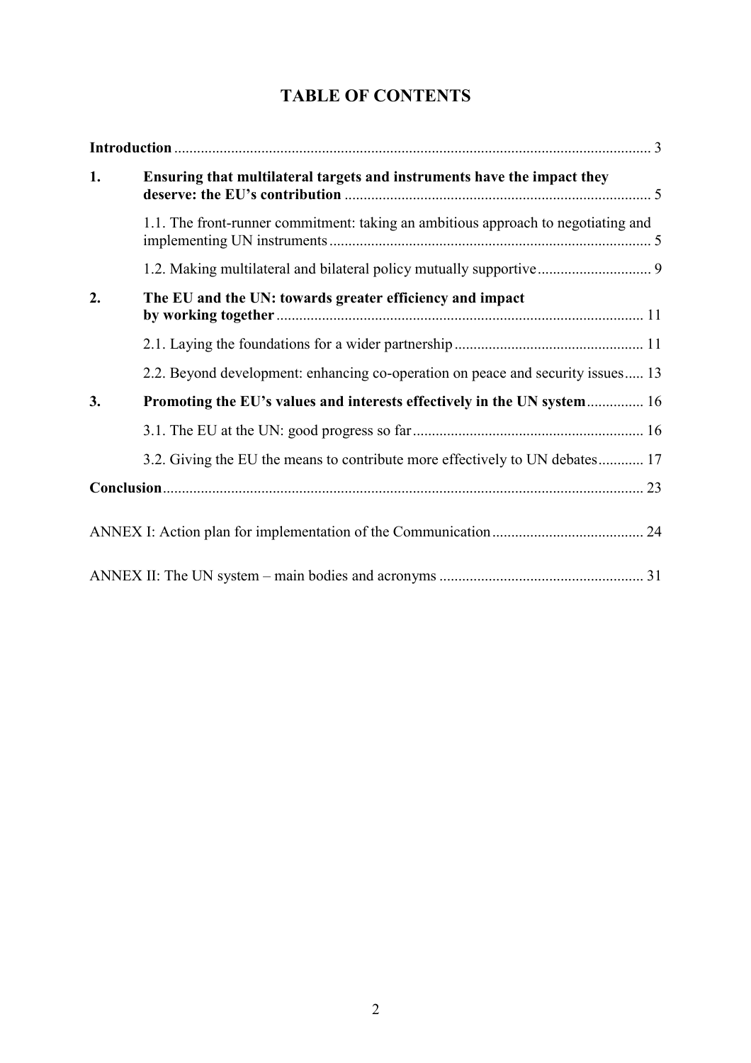# **TABLE OF CONTENTS**

| 1. | Ensuring that multilateral targets and instruments have the impact they           |
|----|-----------------------------------------------------------------------------------|
|    | 1.1. The front-runner commitment: taking an ambitious approach to negotiating and |
|    |                                                                                   |
| 2. | The EU and the UN: towards greater efficiency and impact                          |
|    |                                                                                   |
|    | 2.2. Beyond development: enhancing co-operation on peace and security issues 13   |
| 3. | Promoting the EU's values and interests effectively in the UN system 16           |
|    |                                                                                   |
|    | 3.2. Giving the EU the means to contribute more effectively to UN debates 17      |
|    |                                                                                   |
|    |                                                                                   |
|    |                                                                                   |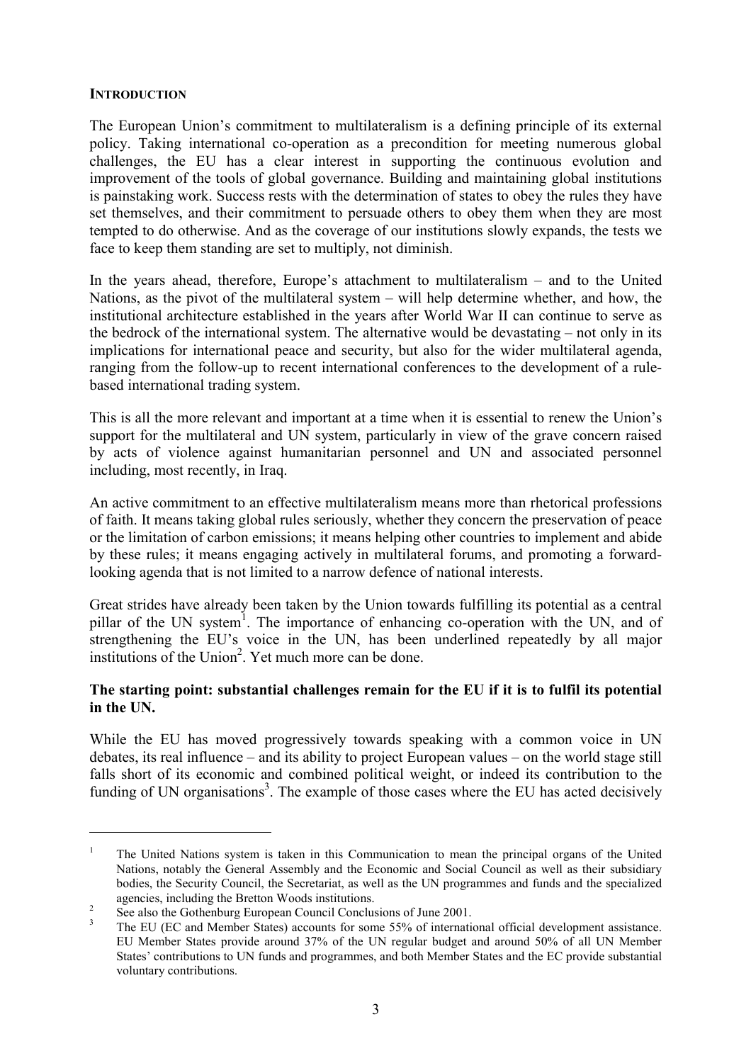#### **INTRODUCTION**

 $\overline{a}$ 

The European Union's commitment to multilateralism is a defining principle of its external policy. Taking international co-operation as a precondition for meeting numerous global challenges, the EU has a clear interest in supporting the continuous evolution and improvement of the tools of global governance. Building and maintaining global institutions is painstaking work. Success rests with the determination of states to obey the rules they have set themselves, and their commitment to persuade others to obey them when they are most tempted to do otherwise. And as the coverage of our institutions slowly expands, the tests we face to keep them standing are set to multiply, not diminish.

In the years ahead, therefore, Europe's attachment to multilateralism – and to the United Nations, as the pivot of the multilateral system – will help determine whether, and how, the institutional architecture established in the years after World War II can continue to serve as the bedrock of the international system. The alternative would be devastating – not only in its implications for international peace and security, but also for the wider multilateral agenda, ranging from the follow-up to recent international conferences to the development of a rulebased international trading system.

This is all the more relevant and important at a time when it is essential to renew the Union's support for the multilateral and UN system, particularly in view of the grave concern raised by acts of violence against humanitarian personnel and UN and associated personnel including, most recently, in Iraq.

An active commitment to an effective multilateralism means more than rhetorical professions of faith. It means taking global rules seriously, whether they concern the preservation of peace or the limitation of carbon emissions; it means helping other countries to implement and abide by these rules; it means engaging actively in multilateral forums, and promoting a forwardlooking agenda that is not limited to a narrow defence of national interests.

Great strides have already been taken by the Union towards fulfilling its potential as a central pillar of the UN system<sup>1</sup>. The importance of enhancing co-operation with the UN, and of strengthening the EU's voice in the UN, has been underlined repeatedly by all major institutions of the Union<sup>2</sup>. Yet much more can be done.

#### **The starting point: substantial challenges remain for the EU if it is to fulfil its potential in the UN.**

While the EU has moved progressively towards speaking with a common voice in UN debates, its real influence – and its ability to project European values – on the world stage still falls short of its economic and combined political weight, or indeed its contribution to the funding of UN organisations<sup>3</sup>. The example of those cases where the EU has acted decisively

<sup>&</sup>lt;sup>1</sup> The United Nations system is taken in this Communication to mean the principal organs of the United Nations, notably the General Assembly and the Economic and Social Council as well as their subsidiary bodies, the Security Council, the Secretariat, as well as the UN programmes and funds and the specialized

agencies, including the Bretton Woods institutions.<br><sup>2</sup> See also the Gothenburg European Council Conclusions of June 2001.<br><sup>3</sup> The EU (EC and Member States) accounts for some 55% of international official development assis EU Member States provide around 37% of the UN regular budget and around 50% of all UN Member States' contributions to UN funds and programmes, and both Member States and the EC provide substantial voluntary contributions.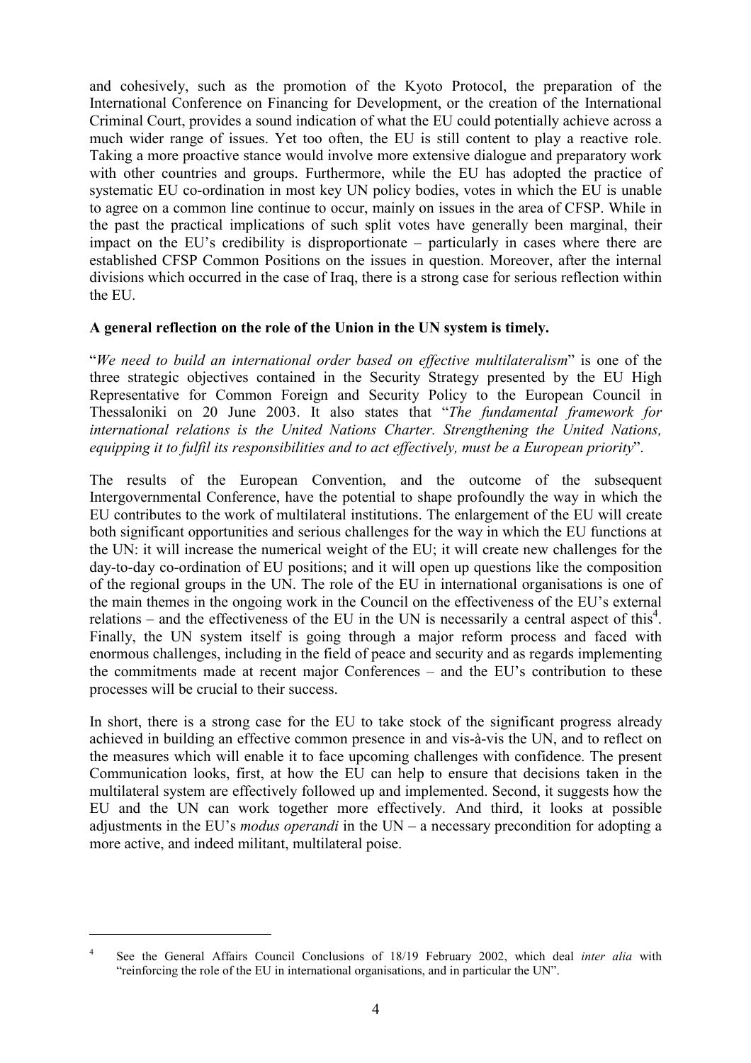and cohesively, such as the promotion of the Kyoto Protocol, the preparation of the International Conference on Financing for Development, or the creation of the International Criminal Court, provides a sound indication of what the EU could potentially achieve across a much wider range of issues. Yet too often, the EU is still content to play a reactive role. Taking a more proactive stance would involve more extensive dialogue and preparatory work with other countries and groups. Furthermore, while the EU has adopted the practice of systematic EU co-ordination in most key UN policy bodies, votes in which the EU is unable to agree on a common line continue to occur, mainly on issues in the area of CFSP. While in the past the practical implications of such split votes have generally been marginal, their impact on the EU's credibility is disproportionate – particularly in cases where there are established CFSP Common Positions on the issues in question. Moreover, after the internal divisions which occurred in the case of Iraq, there is a strong case for serious reflection within the EU.

#### **A general reflection on the role of the Union in the UN system is timely.**

"*We need to build an international order based on effective multilateralism*" is one of the three strategic objectives contained in the Security Strategy presented by the EU High Representative for Common Foreign and Security Policy to the European Council in Thessaloniki on 20 June 2003. It also states that "*The fundamental framework for international relations is the United Nations Charter. Strengthening the United Nations, equipping it to fulfil its responsibilities and to act effectively, must be a European priority*".

The results of the European Convention, and the outcome of the subsequent Intergovernmental Conference, have the potential to shape profoundly the way in which the EU contributes to the work of multilateral institutions. The enlargement of the EU will create both significant opportunities and serious challenges for the way in which the EU functions at the UN: it will increase the numerical weight of the EU; it will create new challenges for the day-to-day co-ordination of EU positions; and it will open up questions like the composition of the regional groups in the UN. The role of the EU in international organisations is one of the main themes in the ongoing work in the Council on the effectiveness of the EU's external relations – and the effectiveness of the EU in the UN is necessarily a central aspect of this<sup>4</sup>. Finally, the UN system itself is going through a major reform process and faced with enormous challenges, including in the field of peace and security and as regards implementing the commitments made at recent major Conferences – and the EU's contribution to these processes will be crucial to their success.

In short, there is a strong case for the EU to take stock of the significant progress already achieved in building an effective common presence in and vis-à-vis the UN, and to reflect on the measures which will enable it to face upcoming challenges with confidence. The present Communication looks, first, at how the EU can help to ensure that decisions taken in the multilateral system are effectively followed up and implemented. Second, it suggests how the EU and the UN can work together more effectively. And third, it looks at possible adjustments in the EU's *modus operandi* in the UN – a necessary precondition for adopting a more active, and indeed militant, multilateral poise.

<sup>4</sup> See the General Affairs Council Conclusions of 18/19 February 2002, which deal *inter alia* with "reinforcing the role of the EU in international organisations, and in particular the UN".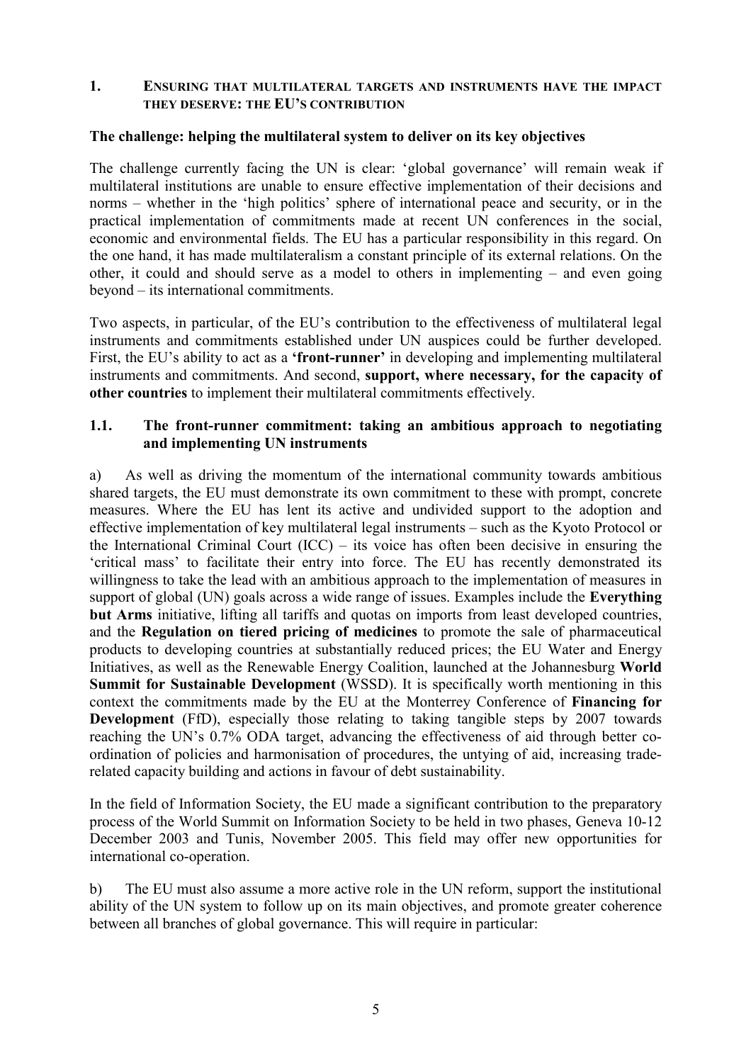#### **1. ENSURING THAT MULTILATERAL TARGETS AND INSTRUMENTS HAVE THE IMPACT THEY DESERVE: THE EU'S CONTRIBUTION**

#### **The challenge: helping the multilateral system to deliver on its key objectives**

The challenge currently facing the UN is clear: 'global governance' will remain weak if multilateral institutions are unable to ensure effective implementation of their decisions and norms – whether in the 'high politics' sphere of international peace and security, or in the practical implementation of commitments made at recent UN conferences in the social, economic and environmental fields. The EU has a particular responsibility in this regard. On the one hand, it has made multilateralism a constant principle of its external relations. On the other, it could and should serve as a model to others in implementing – and even going beyond – its international commitments.

Two aspects, in particular, of the EU's contribution to the effectiveness of multilateral legal instruments and commitments established under UN auspices could be further developed. First, the EU's ability to act as a **'front-runner'** in developing and implementing multilateral instruments and commitments. And second, **support, where necessary, for the capacity of other countries** to implement their multilateral commitments effectively.

#### **1.1. The front-runner commitment: taking an ambitious approach to negotiating and implementing UN instruments**

a) As well as driving the momentum of the international community towards ambitious shared targets, the EU must demonstrate its own commitment to these with prompt, concrete measures. Where the EU has lent its active and undivided support to the adoption and effective implementation of key multilateral legal instruments – such as the Kyoto Protocol or the International Criminal Court (ICC) – its voice has often been decisive in ensuring the 'critical mass' to facilitate their entry into force. The EU has recently demonstrated its willingness to take the lead with an ambitious approach to the implementation of measures in support of global (UN) goals across a wide range of issues. Examples include the **Everything but Arms** initiative, lifting all tariffs and quotas on imports from least developed countries, and the **Regulation on tiered pricing of medicines** to promote the sale of pharmaceutical products to developing countries at substantially reduced prices; the EU Water and Energy Initiatives, as well as the Renewable Energy Coalition, launched at the Johannesburg **World Summit for Sustainable Development** (WSSD). It is specifically worth mentioning in this context the commitments made by the EU at the Monterrey Conference of **Financing for Development** (FfD), especially those relating to taking tangible steps by 2007 towards reaching the UN's 0.7% ODA target, advancing the effectiveness of aid through better coordination of policies and harmonisation of procedures, the untying of aid, increasing traderelated capacity building and actions in favour of debt sustainability.

In the field of Information Society, the EU made a significant contribution to the preparatory process of the World Summit on Information Society to be held in two phases, Geneva 10-12 December 2003 and Tunis, November 2005. This field may offer new opportunities for international co-operation.

b) The EU must also assume a more active role in the UN reform, support the institutional ability of the UN system to follow up on its main objectives, and promote greater coherence between all branches of global governance. This will require in particular: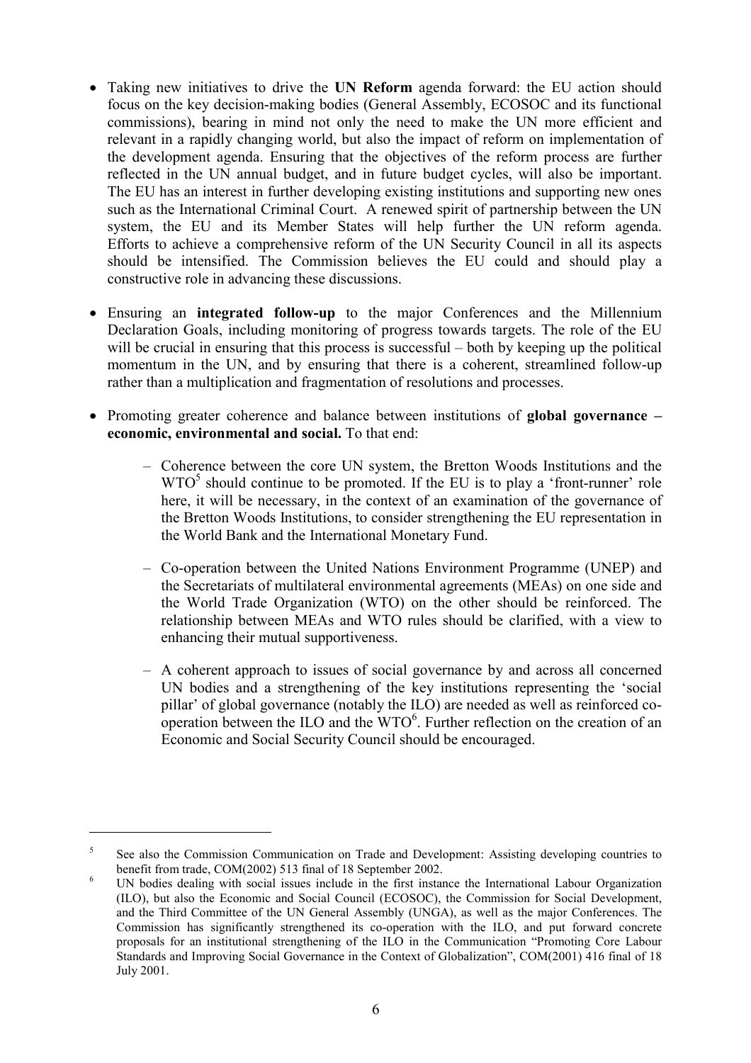- Taking new initiatives to drive the **UN Reform** agenda forward: the EU action should focus on the key decision-making bodies (General Assembly, ECOSOC and its functional commissions), bearing in mind not only the need to make the UN more efficient and relevant in a rapidly changing world, but also the impact of reform on implementation of the development agenda. Ensuring that the objectives of the reform process are further reflected in the UN annual budget, and in future budget cycles, will also be important. The EU has an interest in further developing existing institutions and supporting new ones such as the International Criminal Court. A renewed spirit of partnership between the UN system, the EU and its Member States will help further the UN reform agenda. Efforts to achieve a comprehensive reform of the UN Security Council in all its aspects should be intensified. The Commission believes the EU could and should play a constructive role in advancing these discussions.
- Ensuring an **integrated follow-up** to the major Conferences and the Millennium Declaration Goals, including monitoring of progress towards targets. The role of the EU will be crucial in ensuring that this process is successful – both by keeping up the political momentum in the UN, and by ensuring that there is a coherent, streamlined follow-up rather than a multiplication and fragmentation of resolutions and processes.
- Promoting greater coherence and balance between institutions of **global governance – economic, environmental and social.** To that end:
	- Coherence between the core UN system, the Bretton Woods Institutions and the  $WTO<sup>5</sup>$  should continue to be promoted. If the EU is to play a 'front-runner' role here, it will be necessary, in the context of an examination of the governance of the Bretton Woods Institutions, to consider strengthening the EU representation in the World Bank and the International Monetary Fund.
	- Co-operation between the United Nations Environment Programme (UNEP) and the Secretariats of multilateral environmental agreements (MEAs) on one side and the World Trade Organization (WTO) on the other should be reinforced. The relationship between MEAs and WTO rules should be clarified, with a view to enhancing their mutual supportiveness.
	- A coherent approach to issues of social governance by and across all concerned UN bodies and a strengthening of the key institutions representing the 'social pillar' of global governance (notably the ILO) are needed as well as reinforced cooperation between the ILO and the  $WTO<sup>6</sup>$ . Further reflection on the creation of an Economic and Social Security Council should be encouraged.

<sup>&</sup>lt;sup>5</sup> See also the Commission Communication on Trade and Development: Assisting developing countries to

benefit from trade, COM(2002) 513 final of 18 September 2002.<br><sup>6</sup> UN bodies dealing with social issues include in the first instance the International Labour Organization (ILO), but also the Economic and Social Council (ECOSOC), the Commission for Social Development, and the Third Committee of the UN General Assembly (UNGA), as well as the major Conferences. The Commission has significantly strengthened its co-operation with the ILO, and put forward concrete proposals for an institutional strengthening of the ILO in the Communication "Promoting Core Labour Standards and Improving Social Governance in the Context of Globalization", COM(2001) 416 final of 18 July 2001.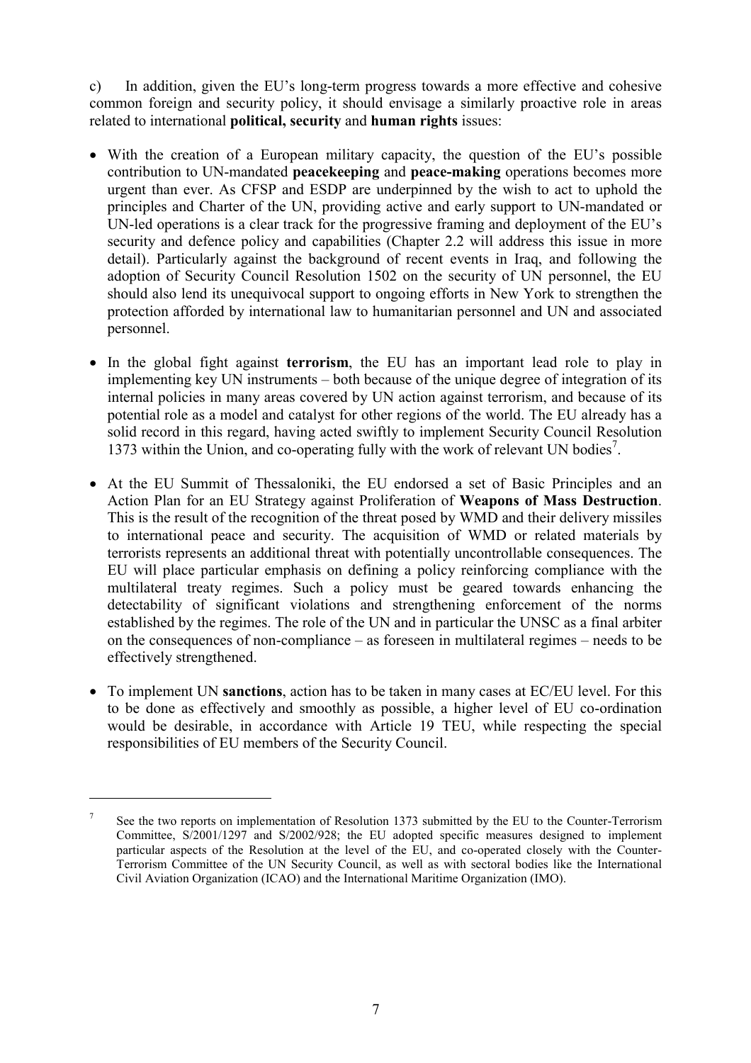c) In addition, given the EU's long-term progress towards a more effective and cohesive common foreign and security policy, it should envisage a similarly proactive role in areas related to international **political, security** and **human rights** issues:

- With the creation of a European military capacity, the question of the EU's possible contribution to UN-mandated **peacekeeping** and **peace-making** operations becomes more urgent than ever. As CFSP and ESDP are underpinned by the wish to act to uphold the principles and Charter of the UN, providing active and early support to UN-mandated or UN-led operations is a clear track for the progressive framing and deployment of the EU's security and defence policy and capabilities (Chapter 2.2 will address this issue in more detail). Particularly against the background of recent events in Iraq, and following the adoption of Security Council Resolution 1502 on the security of UN personnel, the EU should also lend its unequivocal support to ongoing efforts in New York to strengthen the protection afforded by international law to humanitarian personnel and UN and associated personnel.
- In the global fight against **terrorism**, the EU has an important lead role to play in implementing key UN instruments – both because of the unique degree of integration of its internal policies in many areas covered by UN action against terrorism, and because of its potential role as a model and catalyst for other regions of the world. The EU already has a solid record in this regard, having acted swiftly to implement Security Council Resolution 1373 within the Union, and co-operating fully with the work of relevant UN bodies<sup>7</sup>.
- At the EU Summit of Thessaloniki, the EU endorsed a set of Basic Principles and an Action Plan for an EU Strategy against Proliferation of **Weapons of Mass Destruction**. This is the result of the recognition of the threat posed by WMD and their delivery missiles to international peace and security. The acquisition of WMD or related materials by terrorists represents an additional threat with potentially uncontrollable consequences. The EU will place particular emphasis on defining a policy reinforcing compliance with the multilateral treaty regimes. Such a policy must be geared towards enhancing the detectability of significant violations and strengthening enforcement of the norms established by the regimes. The role of the UN and in particular the UNSC as a final arbiter on the consequences of non-compliance – as foreseen in multilateral regimes – needs to be effectively strengthened.
- To implement UN **sanctions**, action has to be taken in many cases at EC/EU level. For this to be done as effectively and smoothly as possible, a higher level of EU co-ordination would be desirable, in accordance with Article 19 TEU, while respecting the special responsibilities of EU members of the Security Council.

<sup>&</sup>lt;sup>7</sup> See the two reports on implementation of Resolution 1373 submitted by the EU to the Counter-Terrorism Committee, S/2001/1297 and S/2002/928; the EU adopted specific measures designed to implement particular aspects of the Resolution at the level of the EU, and co-operated closely with the Counter-Terrorism Committee of the UN Security Council, as well as with sectoral bodies like the International Civil Aviation Organization (ICAO) and the International Maritime Organization (IMO).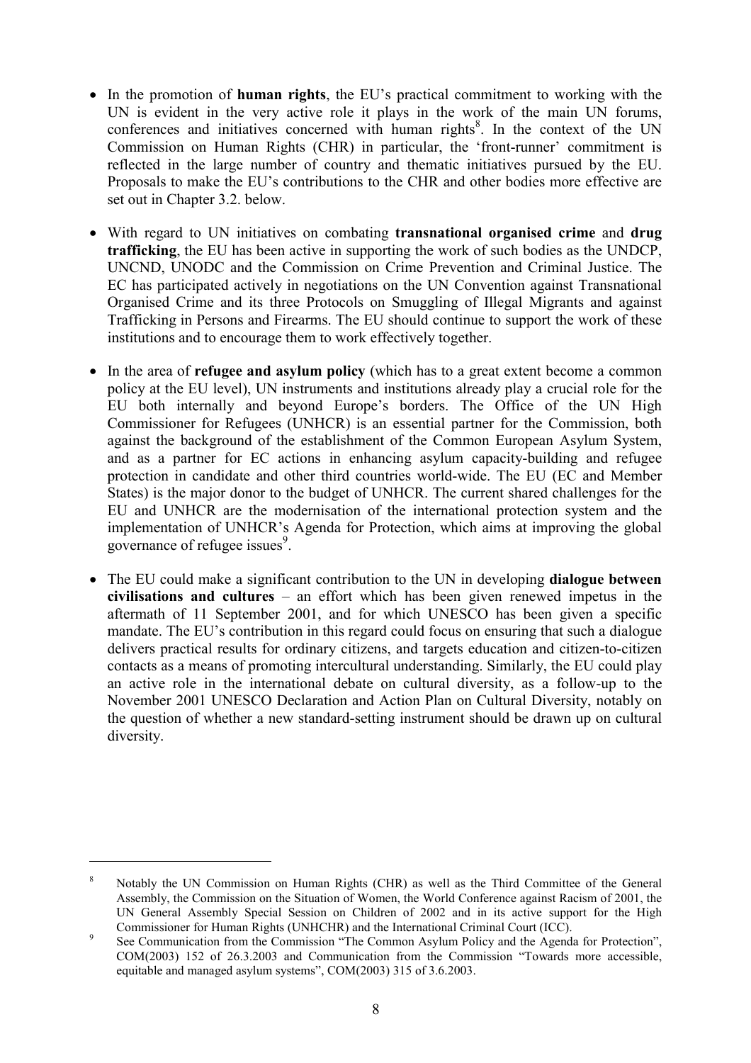- In the promotion of **human rights**, the EU's practical commitment to working with the UN is evident in the very active role it plays in the work of the main UN forums, conferences and initiatives concerned with human rights<sup>8</sup>. In the context of the UN Commission on Human Rights (CHR) in particular, the 'front-runner' commitment is reflected in the large number of country and thematic initiatives pursued by the EU. Proposals to make the EU's contributions to the CHR and other bodies more effective are set out in Chapter 3.2. below.
- With regard to UN initiatives on combating **transnational organised crime** and **drug trafficking**, the EU has been active in supporting the work of such bodies as the UNDCP, UNCND, UNODC and the Commission on Crime Prevention and Criminal Justice. The EC has participated actively in negotiations on the UN Convention against Transnational Organised Crime and its three Protocols on Smuggling of Illegal Migrants and against Trafficking in Persons and Firearms. The EU should continue to support the work of these institutions and to encourage them to work effectively together.
- In the area of **refugee and asylum policy** (which has to a great extent become a common policy at the EU level), UN instruments and institutions already play a crucial role for the EU both internally and beyond Europe's borders. The Office of the UN High Commissioner for Refugees (UNHCR) is an essential partner for the Commission, both against the background of the establishment of the Common European Asylum System, and as a partner for EC actions in enhancing asylum capacity-building and refugee protection in candidate and other third countries world-wide. The EU (EC and Member States) is the major donor to the budget of UNHCR. The current shared challenges for the EU and UNHCR are the modernisation of the international protection system and the implementation of UNHCR's Agenda for Protection, which aims at improving the global governance of refugee issues<sup>9</sup>.
- The EU could make a significant contribution to the UN in developing **dialogue between civilisations and cultures** – an effort which has been given renewed impetus in the aftermath of 11 September 2001, and for which UNESCO has been given a specific mandate. The EU's contribution in this regard could focus on ensuring that such a dialogue delivers practical results for ordinary citizens, and targets education and citizen-to-citizen contacts as a means of promoting intercultural understanding. Similarly, the EU could play an active role in the international debate on cultural diversity, as a follow-up to the November 2001 UNESCO Declaration and Action Plan on Cultural Diversity, notably on the question of whether a new standard-setting instrument should be drawn up on cultural diversity.

<sup>8</sup> Notably the UN Commission on Human Rights (CHR) as well as the Third Committee of the General Assembly, the Commission on the Situation of Women, the World Conference against Racism of 2001, the UN General Assembly Special Session on Children of 2002 and in its active support for the High Commissioner for Human Rights (UNHCHR) and the International Criminal Court (ICC).

<sup>&</sup>lt;sup>9</sup> See Communication from the Commission "The Common Asylum Policy and the Agenda for Protection", COM(2003) 152 of 26.3.2003 and Communication from the Commission "Towards more accessible, equitable and managed asylum systems", COM(2003) 315 of 3.6.2003.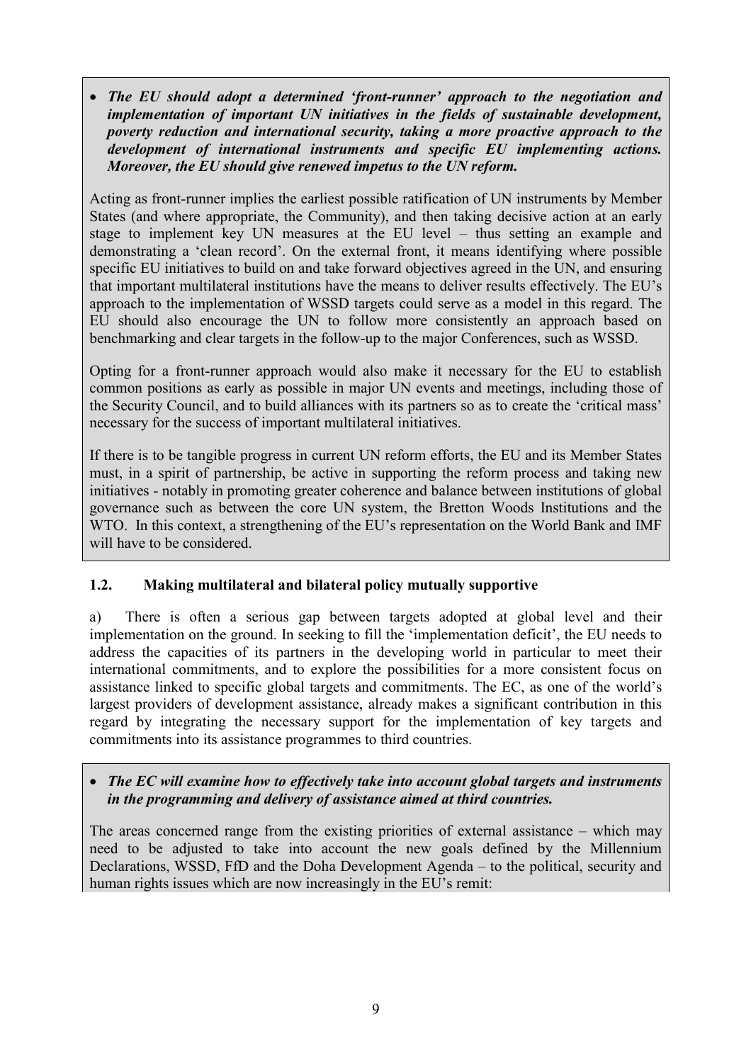*The EU should adopt a determined 'front-runner' approach to the negotiation and implementation of important UN initiatives in the fields of sustainable development, poverty reduction and international security, taking a more proactive approach to the development of international instruments and specific EU implementing actions. Moreover, the EU should give renewed impetus to the UN reform.*

Acting as front-runner implies the earliest possible ratification of UN instruments by Member States (and where appropriate, the Community), and then taking decisive action at an early stage to implement key UN measures at the EU level – thus setting an example and demonstrating a 'clean record'. On the external front, it means identifying where possible specific EU initiatives to build on and take forward objectives agreed in the UN, and ensuring that important multilateral institutions have the means to deliver results effectively. The EU's approach to the implementation of WSSD targets could serve as a model in this regard. The EU should also encourage the UN to follow more consistently an approach based on benchmarking and clear targets in the follow-up to the major Conferences, such as WSSD.

Opting for a front-runner approach would also make it necessary for the EU to establish common positions as early as possible in major UN events and meetings, including those of the Security Council, and to build alliances with its partners so as to create the 'critical mass' necessary for the success of important multilateral initiatives.

If there is to be tangible progress in current UN reform efforts, the EU and its Member States must, in a spirit of partnership, be active in supporting the reform process and taking new initiatives - notably in promoting greater coherence and balance between institutions of global governance such as between the core UN system, the Bretton Woods Institutions and the WTO. In this context, a strengthening of the EU's representation on the World Bank and IMF will have to be considered.

## **1.2. Making multilateral and bilateral policy mutually supportive**

a) There is often a serious gap between targets adopted at global level and their implementation on the ground. In seeking to fill the 'implementation deficit', the EU needs to address the capacities of its partners in the developing world in particular to meet their international commitments, and to explore the possibilities for a more consistent focus on assistance linked to specific global targets and commitments. The EC, as one of the world's largest providers of development assistance, already makes a significant contribution in this regard by integrating the necessary support for the implementation of key targets and commitments into its assistance programmes to third countries.

## *The EC will examine how to effectively take into account global targets and instruments in the programming and delivery of assistance aimed at third countries.*

The areas concerned range from the existing priorities of external assistance – which may need to be adjusted to take into account the new goals defined by the Millennium Declarations, WSSD, FfD and the Doha Development Agenda – to the political, security and human rights issues which are now increasingly in the EU's remit: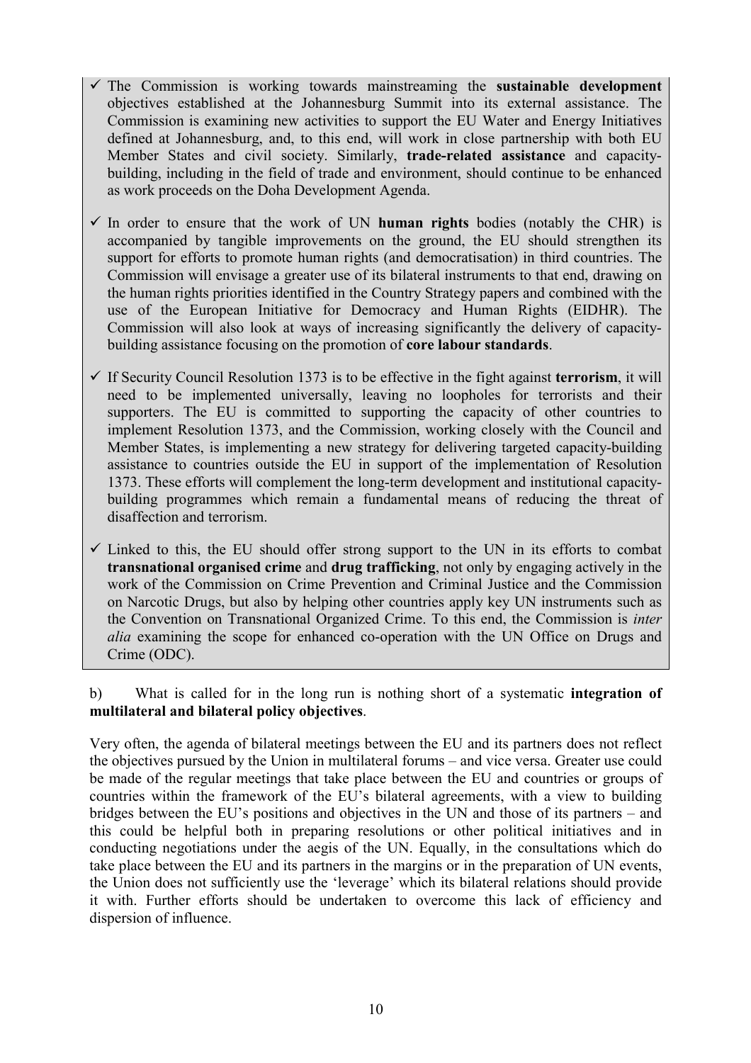- $\checkmark$  The Commission is working towards mainstreaming the **sustainable development** objectives established at the Johannesburg Summit into its external assistance. The Commission is examining new activities to support the EU Water and Energy Initiatives defined at Johannesburg, and, to this end, will work in close partnership with both EU Member States and civil society. Similarly, **trade-related assistance** and capacitybuilding, including in the field of trade and environment, should continue to be enhanced as work proceeds on the Doha Development Agenda.
- $\checkmark$  In order to ensure that the work of UN **human rights** bodies (notably the CHR) is accompanied by tangible improvements on the ground, the EU should strengthen its support for efforts to promote human rights (and democratisation) in third countries. The Commission will envisage a greater use of its bilateral instruments to that end, drawing on the human rights priorities identified in the Country Strategy papers and combined with the use of the European Initiative for Democracy and Human Rights (EIDHR). The Commission will also look at ways of increasing significantly the delivery of capacitybuilding assistance focusing on the promotion of **core labour standards**.
- If Security Council Resolution 1373 is to be effective in the fight against **terrorism**, it will need to be implemented universally, leaving no loopholes for terrorists and their supporters. The EU is committed to supporting the capacity of other countries to implement Resolution 1373, and the Commission, working closely with the Council and Member States, is implementing a new strategy for delivering targeted capacity-building assistance to countries outside the EU in support of the implementation of Resolution 1373. These efforts will complement the long-term development and institutional capacitybuilding programmes which remain a fundamental means of reducing the threat of disaffection and terrorism.
- $\checkmark$  Linked to this, the EU should offer strong support to the UN in its efforts to combat **transnational organised crime** and **drug trafficking**, not only by engaging actively in the work of the Commission on Crime Prevention and Criminal Justice and the Commission on Narcotic Drugs, but also by helping other countries apply key UN instruments such as the Convention on Transnational Organized Crime. To this end, the Commission is *inter alia* examining the scope for enhanced co-operation with the UN Office on Drugs and Crime (ODC).

b) What is called for in the long run is nothing short of a systematic **integration of multilateral and bilateral policy objectives**.

Very often, the agenda of bilateral meetings between the EU and its partners does not reflect the objectives pursued by the Union in multilateral forums – and vice versa. Greater use could be made of the regular meetings that take place between the EU and countries or groups of countries within the framework of the EU's bilateral agreements, with a view to building bridges between the EU's positions and objectives in the UN and those of its partners – and this could be helpful both in preparing resolutions or other political initiatives and in conducting negotiations under the aegis of the UN. Equally, in the consultations which do take place between the EU and its partners in the margins or in the preparation of UN events, the Union does not sufficiently use the 'leverage' which its bilateral relations should provide it with. Further efforts should be undertaken to overcome this lack of efficiency and dispersion of influence.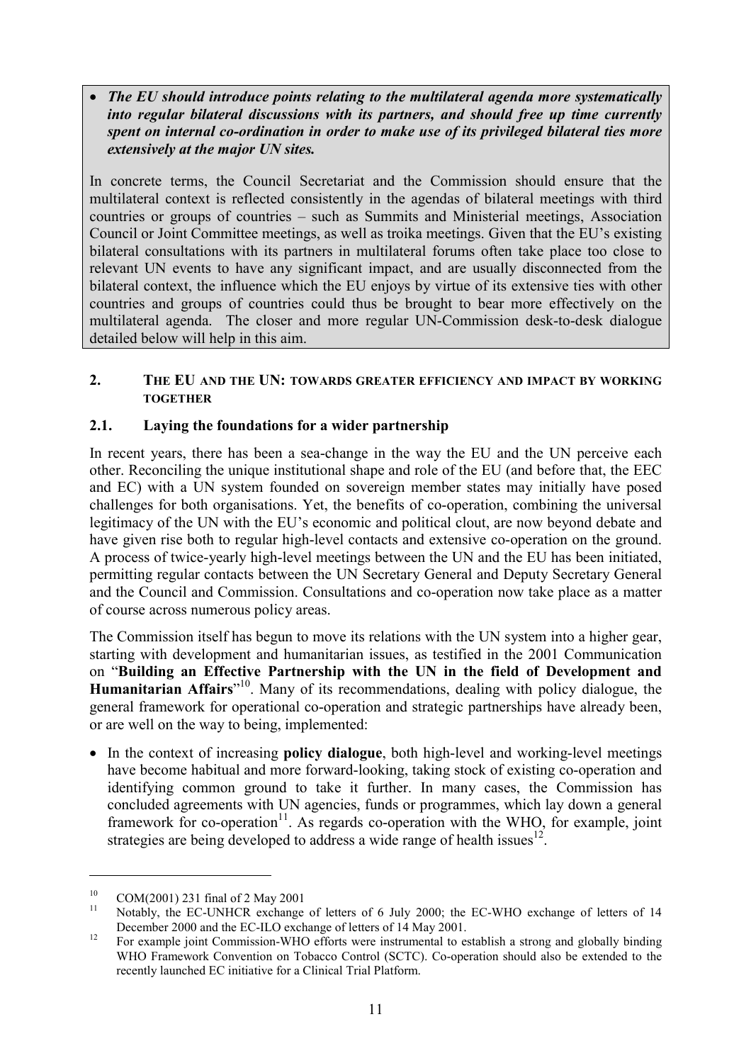*The EU should introduce points relating to the multilateral agenda more systematically into regular bilateral discussions with its partners, and should free up time currently spent on internal co-ordination in order to make use of its privileged bilateral ties more extensively at the major UN sites.*

In concrete terms, the Council Secretariat and the Commission should ensure that the multilateral context is reflected consistently in the agendas of bilateral meetings with third countries or groups of countries – such as Summits and Ministerial meetings, Association Council or Joint Committee meetings, as well as troika meetings. Given that the EU's existing bilateral consultations with its partners in multilateral forums often take place too close to relevant UN events to have any significant impact, and are usually disconnected from the bilateral context, the influence which the EU enjoys by virtue of its extensive ties with other countries and groups of countries could thus be brought to bear more effectively on the multilateral agenda. The closer and more regular UN-Commission desk-to-desk dialogue detailed below will help in this aim.

#### **2. THE EU AND THE UN: TOWARDS GREATER EFFICIENCY AND IMPACT BY WORKING TOGETHER**

## **2.1. Laying the foundations for a wider partnership**

In recent years, there has been a sea-change in the way the EU and the UN perceive each other. Reconciling the unique institutional shape and role of the EU (and before that, the EEC and EC) with a UN system founded on sovereign member states may initially have posed challenges for both organisations. Yet, the benefits of co-operation, combining the universal legitimacy of the UN with the EU's economic and political clout, are now beyond debate and have given rise both to regular high-level contacts and extensive co-operation on the ground. A process of twice-yearly high-level meetings between the UN and the EU has been initiated, permitting regular contacts between the UN Secretary General and Deputy Secretary General and the Council and Commission. Consultations and co-operation now take place as a matter of course across numerous policy areas.

The Commission itself has begun to move its relations with the UN system into a higher gear, starting with development and humanitarian issues, as testified in the 2001 Communication on "**Building an Effective Partnership with the UN in the field of Development and Humanitarian Affairs**" 10. Many of its recommendations, dealing with policy dialogue, the general framework for operational co-operation and strategic partnerships have already been, or are well on the way to being, implemented:

 In the context of increasing **policy dialogue**, both high-level and working-level meetings have become habitual and more forward-looking, taking stock of existing co-operation and identifying common ground to take it further. In many cases, the Commission has concluded agreements with UN agencies, funds or programmes, which lay down a general framework for co-operation<sup>11</sup>. As regards co-operation with the WHO, for example, joint strategies are being developed to address a wide range of health issues  $12$ .

<sup>&</sup>lt;sup>10</sup> COM(2001) 231 final of 2 May 2001<br><sup>11</sup> Notably, the EC-UNHCR exchange of letters of 6 July 2000; the EC-WHO exchange of letters of 14

December 2000 and the EC-ILO exchange of letters of 14 May 2001.<br><sup>12</sup> For example joint Commission-WHO efforts were instrumental to establish a strong and globally binding WHO Framework Convention on Tobacco Control (SCTC). Co-operation should also be extended to the recently launched EC initiative for a Clinical Trial Platform.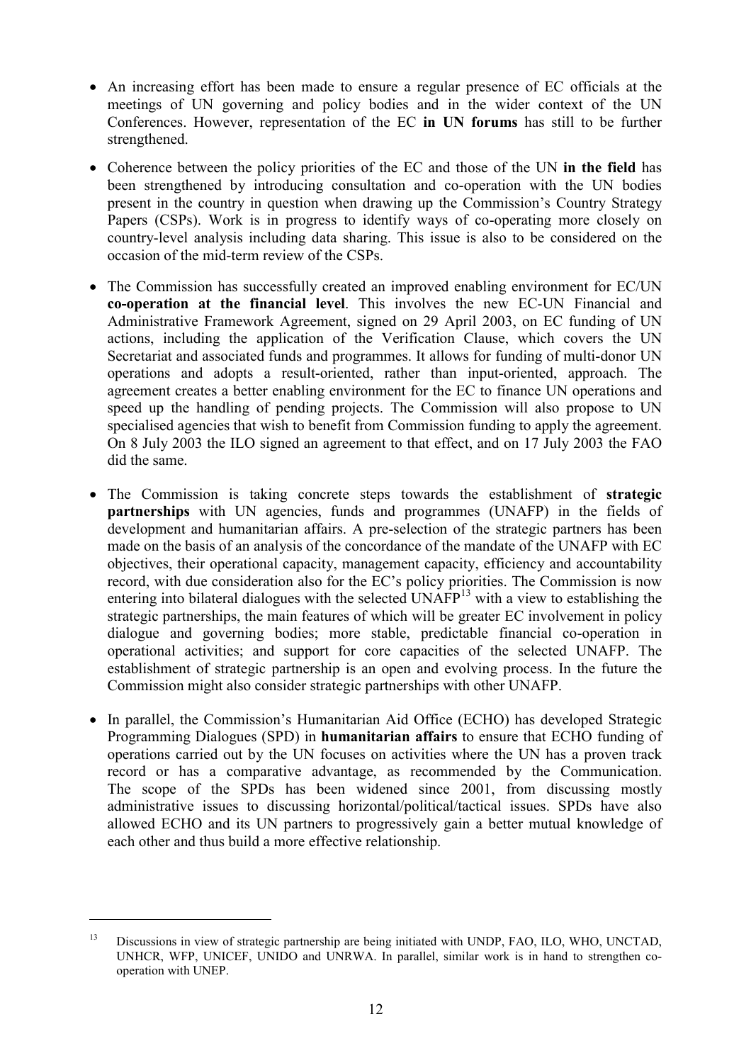- An increasing effort has been made to ensure a regular presence of EC officials at the meetings of UN governing and policy bodies and in the wider context of the UN Conferences. However, representation of the EC **in UN forums** has still to be further strengthened.
- Coherence between the policy priorities of the EC and those of the UN **in the field** has been strengthened by introducing consultation and co-operation with the UN bodies present in the country in question when drawing up the Commission's Country Strategy Papers (CSPs). Work is in progress to identify ways of co-operating more closely on country-level analysis including data sharing. This issue is also to be considered on the occasion of the mid-term review of the CSPs.
- The Commission has successfully created an improved enabling environment for EC/UN **co-operation at the financial level**. This involves the new EC-UN Financial and Administrative Framework Agreement, signed on 29 April 2003, on EC funding of UN actions, including the application of the Verification Clause, which covers the UN Secretariat and associated funds and programmes. It allows for funding of multi-donor UN operations and adopts a result-oriented, rather than input-oriented, approach. The agreement creates a better enabling environment for the EC to finance UN operations and speed up the handling of pending projects. The Commission will also propose to UN specialised agencies that wish to benefit from Commission funding to apply the agreement. On 8 July 2003 the ILO signed an agreement to that effect, and on 17 July 2003 the FAO did the same.
- The Commission is taking concrete steps towards the establishment of **strategic partnerships** with UN agencies, funds and programmes (UNAFP) in the fields of development and humanitarian affairs. A pre-selection of the strategic partners has been made on the basis of an analysis of the concordance of the mandate of the UNAFP with EC objectives, their operational capacity, management capacity, efficiency and accountability record, with due consideration also for the EC's policy priorities. The Commission is now entering into bilateral dialogues with the selected  $UNAFP<sup>13</sup>$  with a view to establishing the strategic partnerships, the main features of which will be greater EC involvement in policy dialogue and governing bodies; more stable, predictable financial co-operation in operational activities; and support for core capacities of the selected UNAFP. The establishment of strategic partnership is an open and evolving process. In the future the Commission might also consider strategic partnerships with other UNAFP.
- In parallel, the Commission's Humanitarian Aid Office (ECHO) has developed Strategic Programming Dialogues (SPD) in **humanitarian affairs** to ensure that ECHO funding of operations carried out by the UN focuses on activities where the UN has a proven track record or has a comparative advantage, as recommended by the Communication. The scope of the SPDs has been widened since 2001, from discussing mostly administrative issues to discussing horizontal/political/tactical issues. SPDs have also allowed ECHO and its UN partners to progressively gain a better mutual knowledge of each other and thus build a more effective relationship.

<sup>&</sup>lt;sup>13</sup> Discussions in view of strategic partnership are being initiated with UNDP, FAO, ILO, WHO, UNCTAD, UNHCR, WFP, UNICEF, UNIDO and UNRWA. In parallel, similar work is in hand to strengthen cooperation with UNEP.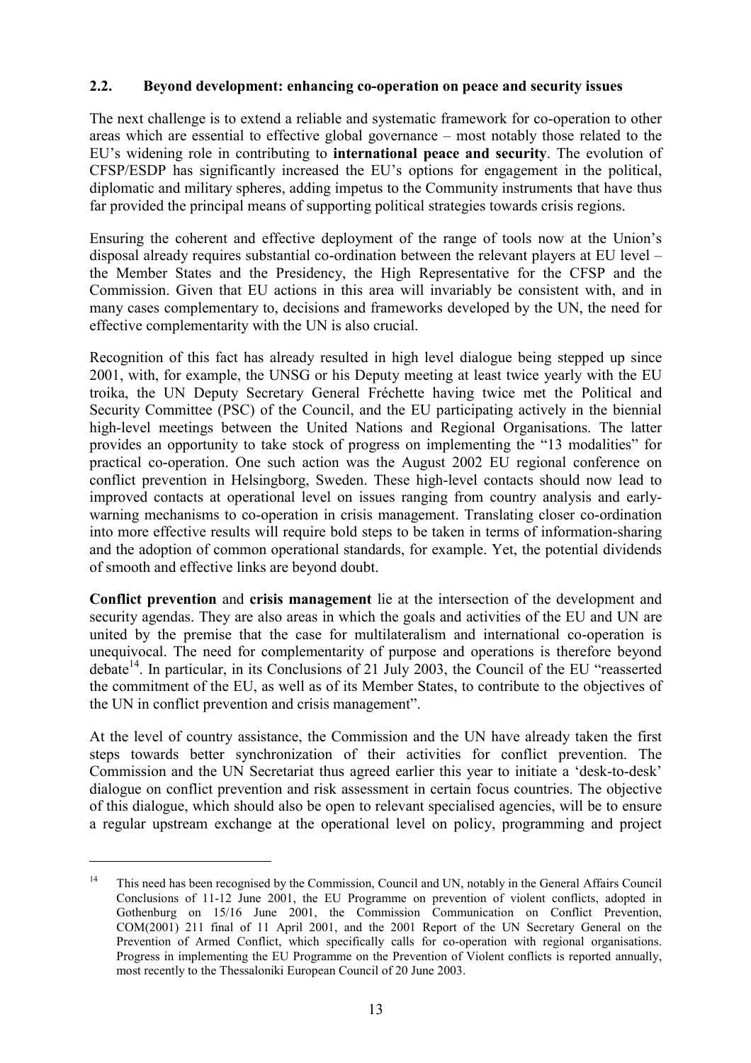#### **2.2. Beyond development: enhancing co-operation on peace and security issues**

The next challenge is to extend a reliable and systematic framework for co-operation to other areas which are essential to effective global governance – most notably those related to the EU's widening role in contributing to **international peace and security**. The evolution of CFSP/ESDP has significantly increased the EU's options for engagement in the political, diplomatic and military spheres, adding impetus to the Community instruments that have thus far provided the principal means of supporting political strategies towards crisis regions.

Ensuring the coherent and effective deployment of the range of tools now at the Union's disposal already requires substantial co-ordination between the relevant players at EU level – the Member States and the Presidency, the High Representative for the CFSP and the Commission. Given that EU actions in this area will invariably be consistent with, and in many cases complementary to, decisions and frameworks developed by the UN, the need for effective complementarity with the UN is also crucial.

Recognition of this fact has already resulted in high level dialogue being stepped up since 2001, with, for example, the UNSG or his Deputy meeting at least twice yearly with the EU troika, the UN Deputy Secretary General Fréchette having twice met the Political and Security Committee (PSC) of the Council, and the EU participating actively in the biennial high-level meetings between the United Nations and Regional Organisations. The latter provides an opportunity to take stock of progress on implementing the "13 modalities" for practical co-operation. One such action was the August 2002 EU regional conference on conflict prevention in Helsingborg, Sweden. These high-level contacts should now lead to improved contacts at operational level on issues ranging from country analysis and earlywarning mechanisms to co-operation in crisis management. Translating closer co-ordination into more effective results will require bold steps to be taken in terms of information-sharing and the adoption of common operational standards, for example. Yet, the potential dividends of smooth and effective links are beyond doubt.

**Conflict prevention** and **crisis management** lie at the intersection of the development and security agendas. They are also areas in which the goals and activities of the EU and UN are united by the premise that the case for multilateralism and international co-operation is unequivocal. The need for complementarity of purpose and operations is therefore beyond debate<sup>14</sup>. In particular, in its Conclusions of 21 July 2003, the Council of the EU "reasserted" the commitment of the EU, as well as of its Member States, to contribute to the objectives of the UN in conflict prevention and crisis management".

At the level of country assistance, the Commission and the UN have already taken the first steps towards better synchronization of their activities for conflict prevention. The Commission and the UN Secretariat thus agreed earlier this year to initiate a 'desk-to-desk' dialogue on conflict prevention and risk assessment in certain focus countries. The objective of this dialogue, which should also be open to relevant specialised agencies, will be to ensure a regular upstream exchange at the operational level on policy, programming and project

<sup>&</sup>lt;sup>14</sup> This need has been recognised by the Commission, Council and UN, notably in the General Affairs Council Conclusions of 11-12 June 2001, the EU Programme on prevention of violent conflicts, adopted in Gothenburg on 15/16 June 2001, the Commission Communication on Conflict Prevention, COM(2001) 211 final of 11 April 2001, and the 2001 Report of the UN Secretary General on the Prevention of Armed Conflict, which specifically calls for co-operation with regional organisations. Progress in implementing the EU Programme on the Prevention of Violent conflicts is reported annually, most recently to the Thessaloniki European Council of 20 June 2003.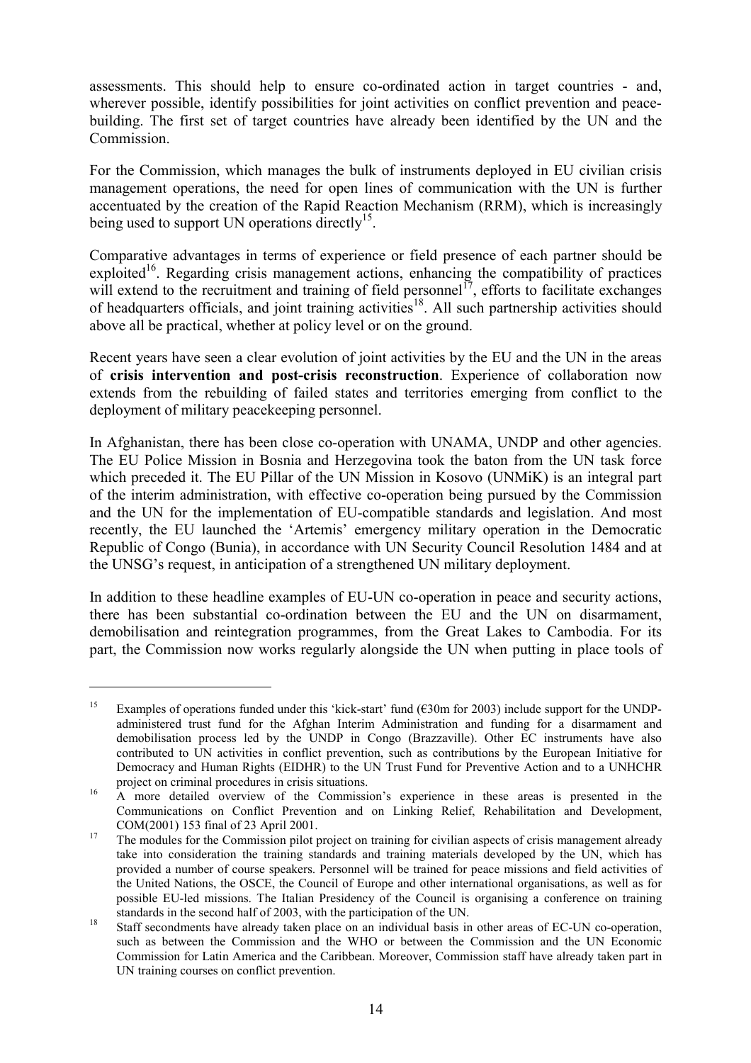assessments. This should help to ensure co-ordinated action in target countries - and, wherever possible, identify possibilities for joint activities on conflict prevention and peacebuilding. The first set of target countries have already been identified by the UN and the Commission.

For the Commission, which manages the bulk of instruments deployed in EU civilian crisis management operations, the need for open lines of communication with the UN is further accentuated by the creation of the Rapid Reaction Mechanism (RRM), which is increasingly being used to support UN operations directly<sup>15</sup>.

Comparative advantages in terms of experience or field presence of each partner should be exploited<sup>16</sup>. Regarding crisis management actions, enhancing the compatibility of practices will extend to the recruitment and training of field personnel<sup>17</sup>, efforts to facilitate exchanges of headquarters officials, and joint training activities<sup>18</sup>. All such partnership activities should above all be practical, whether at policy level or on the ground.

Recent years have seen a clear evolution of joint activities by the EU and the UN in the areas of **crisis intervention and post-crisis reconstruction**. Experience of collaboration now extends from the rebuilding of failed states and territories emerging from conflict to the deployment of military peacekeeping personnel.

In Afghanistan, there has been close co-operation with UNAMA, UNDP and other agencies. The EU Police Mission in Bosnia and Herzegovina took the baton from the UN task force which preceded it. The EU Pillar of the UN Mission in Kosovo (UNMiK) is an integral part of the interim administration, with effective co-operation being pursued by the Commission and the UN for the implementation of EU-compatible standards and legislation. And most recently, the EU launched the 'Artemis' emergency military operation in the Democratic Republic of Congo (Bunia), in accordance with UN Security Council Resolution 1484 and at the UNSG's request, in anticipation of a strengthened UN military deployment.

In addition to these headline examples of EU-UN co-operation in peace and security actions, there has been substantial co-ordination between the EU and the UN on disarmament, demobilisation and reintegration programmes, from the Great Lakes to Cambodia. For its part, the Commission now works regularly alongside the UN when putting in place tools of

<sup>&</sup>lt;sup>15</sup> Examples of operations funded under this 'kick-start' fund ( $\epsilon$ 30m for 2003) include support for the UNDPadministered trust fund for the Afghan Interim Administration and funding for a disarmament and demobilisation process led by the UNDP in Congo (Brazzaville). Other EC instruments have also contributed to UN activities in conflict prevention, such as contributions by the European Initiative for Democracy and Human Rights (EIDHR) to the UN Trust Fund for Preventive Action and to a UNHCHR project on criminal procedures in crisis situations.<br><sup>16</sup> A more detailed overview of the Commission's experience in these areas is presented in the

Communications on Conflict Prevention and on Linking Relief, Rehabilitation and Development,  $COM(2001)$  153 final of 23 April 2001.<br><sup>17</sup> The modules for the Commission pilot project on training for civilian aspects of crisis management already

take into consideration the training standards and training materials developed by the UN, which has provided a number of course speakers. Personnel will be trained for peace missions and field activities of the United Nations, the OSCE, the Council of Europe and other international organisations, as well as for possible EU-led missions. The Italian Presidency of the Council is organising a conference on training standards in the second half of 2003, with the participation of the UN.<br><sup>18</sup> Staff secondments have already taken place on an individual basis in other areas of EC-UN co-operation,

such as between the Commission and the WHO or between the Commission and the UN Economic Commission for Latin America and the Caribbean. Moreover, Commission staff have already taken part in UN training courses on conflict prevention.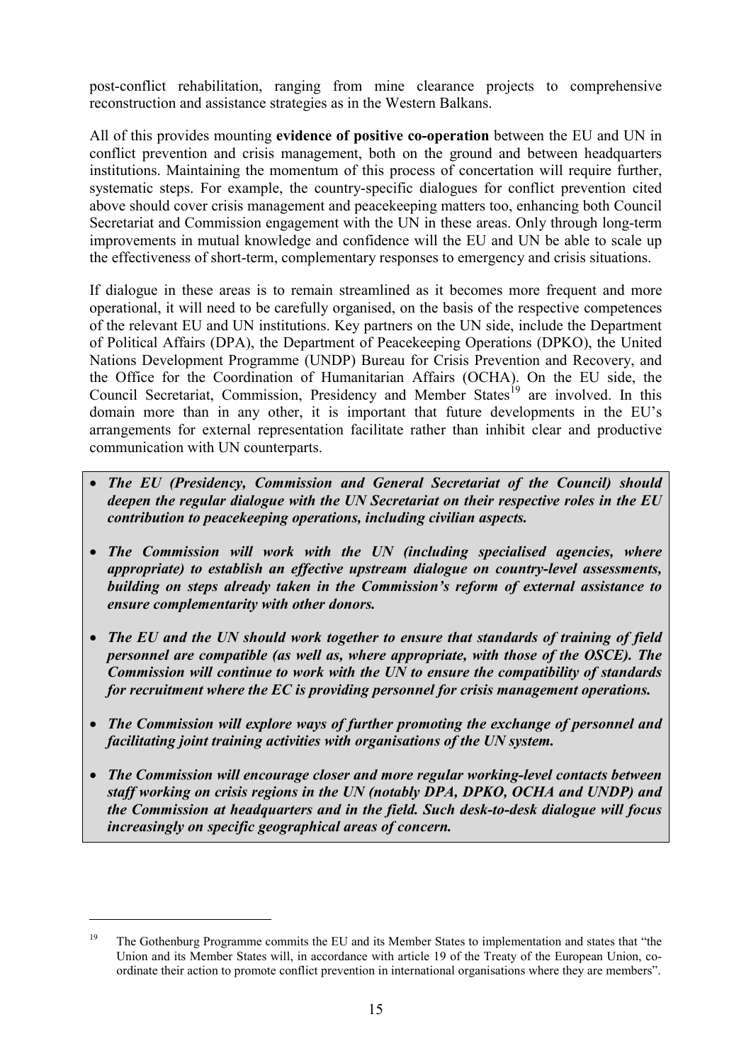post-conflict rehabilitation, ranging from mine clearance projects to comprehensive reconstruction and assistance strategies as in the Western Balkans.

All of this provides mounting **evidence of positive co-operation** between the EU and UN in conflict prevention and crisis management, both on the ground and between headquarters institutions. Maintaining the momentum of this process of concertation will require further, systematic steps. For example, the country-specific dialogues for conflict prevention cited above should cover crisis management and peacekeeping matters too, enhancing both Council Secretariat and Commission engagement with the UN in these areas. Only through long-term improvements in mutual knowledge and confidence will the EU and UN be able to scale up the effectiveness of short-term, complementary responses to emergency and crisis situations.

If dialogue in these areas is to remain streamlined as it becomes more frequent and more operational, it will need to be carefully organised, on the basis of the respective competences of the relevant EU and UN institutions. Key partners on the UN side, include the Department of Political Affairs (DPA), the Department of Peacekeeping Operations (DPKO), the United Nations Development Programme (UNDP) Bureau for Crisis Prevention and Recovery, and the Office for the Coordination of Humanitarian Affairs (OCHA). On the EU side, the Council Secretariat, Commission, Presidency and Member States<sup>19</sup> are involved. In this domain more than in any other, it is important that future developments in the EU's arrangements for external representation facilitate rather than inhibit clear and productive communication with UN counterparts.

- *The EU (Presidency, Commission and General Secretariat of the Council) should deepen the regular dialogue with the UN Secretariat on their respective roles in the EU contribution to peacekeeping operations, including civilian aspects.*
- *The Commission will work with the UN (including specialised agencies, where appropriate) to establish an effective upstream dialogue on country-level assessments, building on steps already taken in the Commission's reform of external assistance to ensure complementarity with other donors.*
- *The EU and the UN should work together to ensure that standards of training of field personnel are compatible (as well as, where appropriate, with those of the OSCE). The Commission will continue to work with the UN to ensure the compatibility of standards for recruitment where the EC is providing personnel for crisis management operations.*
- *The Commission will explore ways of further promoting the exchange of personnel and facilitating joint training activities with organisations of the UN system.*
- *The Commission will encourage closer and more regular working-level contacts between staff working on crisis regions in the UN (notably DPA, DPKO, OCHA and UNDP) and the Commission at headquarters and in the field. Such desk-to-desk dialogue will focus increasingly on specific geographical areas of concern.*

<sup>&</sup>lt;sup>19</sup> The Gothenburg Programme commits the EU and its Member States to implementation and states that "the Union and its Member States will, in accordance with article 19 of the Treaty of the European Union, coordinate their action to promote conflict prevention in international organisations where they are members".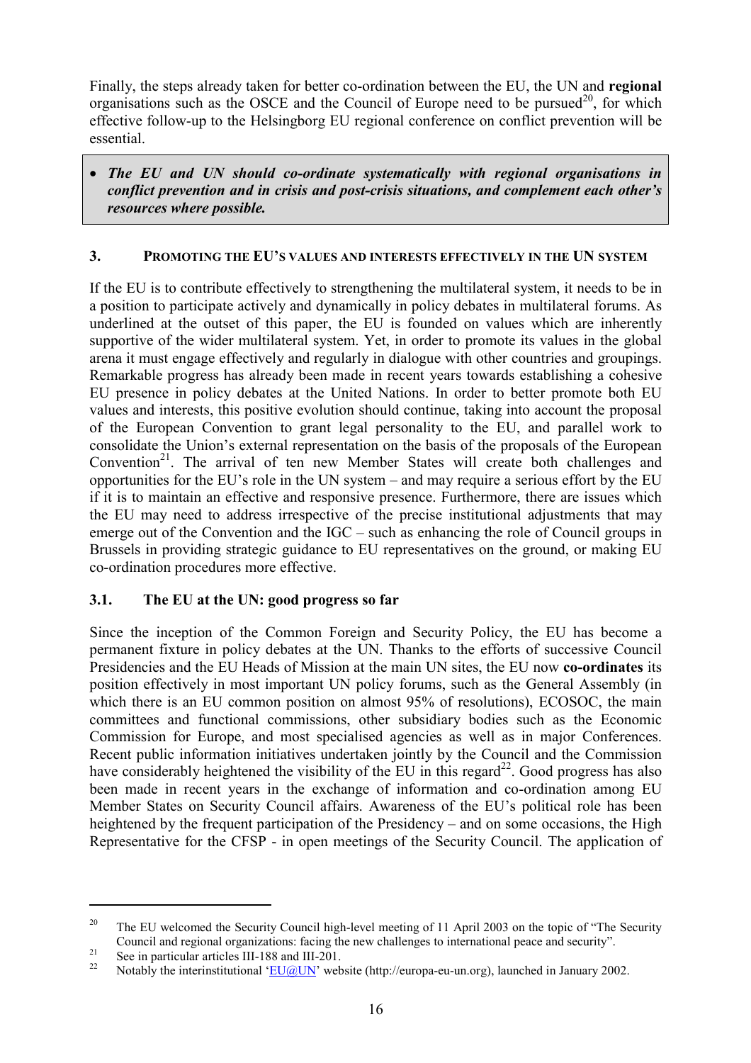Finally, the steps already taken for better co-ordination between the EU, the UN and **regional** organisations such as the OSCE and the Council of Europe need to be pursued<sup>20</sup>, for which effective follow-up to the Helsingborg EU regional conference on conflict prevention will be essential.

 *The EU and UN should co-ordinate systematically with regional organisations in conflict prevention and in crisis and post-crisis situations, and complement each other's resources where possible.*

### **3. PROMOTING THE EU'S VALUES AND INTERESTS EFFECTIVELY IN THE UN SYSTEM**

If the EU is to contribute effectively to strengthening the multilateral system, it needs to be in a position to participate actively and dynamically in policy debates in multilateral forums. As underlined at the outset of this paper, the EU is founded on values which are inherently supportive of the wider multilateral system. Yet, in order to promote its values in the global arena it must engage effectively and regularly in dialogue with other countries and groupings. Remarkable progress has already been made in recent years towards establishing a cohesive EU presence in policy debates at the United Nations. In order to better promote both EU values and interests, this positive evolution should continue, taking into account the proposal of the European Convention to grant legal personality to the EU, and parallel work to consolidate the Union's external representation on the basis of the proposals of the European Convention<sup>21</sup>. The arrival of ten new Member States will create both challenges and opportunities for the EU's role in the UN system – and may require a serious effort by the EU if it is to maintain an effective and responsive presence. Furthermore, there are issues which the EU may need to address irrespective of the precise institutional adjustments that may emerge out of the Convention and the IGC – such as enhancing the role of Council groups in Brussels in providing strategic guidance to EU representatives on the ground, or making EU co-ordination procedures more effective.

## **3.1. The EU at the UN: good progress so far**

Since the inception of the Common Foreign and Security Policy, the EU has become a permanent fixture in policy debates at the UN. Thanks to the efforts of successive Council Presidencies and the EU Heads of Mission at the main UN sites, the EU now **co-ordinates** its position effectively in most important UN policy forums, such as the General Assembly (in which there is an EU common position on almost 95% of resolutions), ECOSOC, the main committees and functional commissions, other subsidiary bodies such as the Economic Commission for Europe, and most specialised agencies as well as in major Conferences. Recent public information initiatives undertaken jointly by the Council and the Commission have considerably heightened the visibility of the EU in this regard<sup>22</sup>. Good progress has also been made in recent years in the exchange of information and co-ordination among EU Member States on Security Council affairs. Awareness of the EU's political role has been heightened by the frequent participation of the Presidency – and on some occasions, the High Representative for the CFSP - in open meetings of the Security Council. The application of

<sup>&</sup>lt;sup>20</sup> The EU welcomed the Security Council high-level meeting of 11 April 2003 on the topic of "The Security" Council and regional organizations: facing the new challenges to international peace and security".<br>See in particular articles III-188 and III-201.<br>Notably the interinstitutional 'EU@UN' website (http://europa-eu-un.org),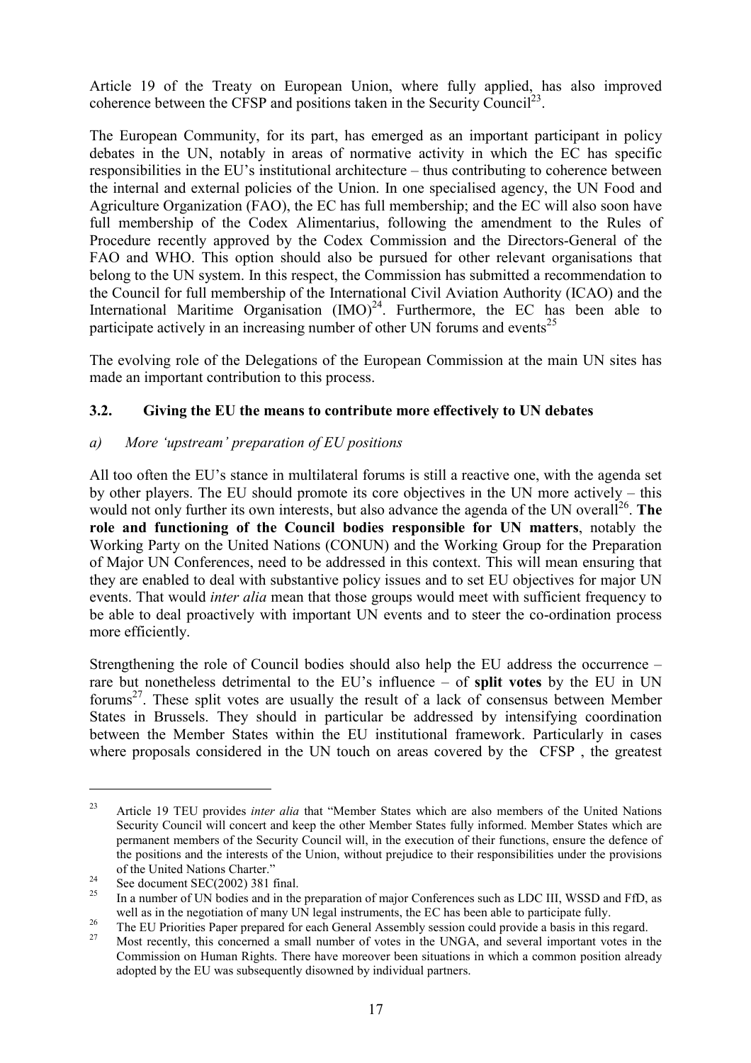Article 19 of the Treaty on European Union, where fully applied, has also improved coherence between the CFSP and positions taken in the Security Council<sup>23</sup>.

The European Community, for its part, has emerged as an important participant in policy debates in the UN, notably in areas of normative activity in which the EC has specific responsibilities in the EU's institutional architecture – thus contributing to coherence between the internal and external policies of the Union. In one specialised agency, the UN Food and Agriculture Organization (FAO), the EC has full membership; and the EC will also soon have full membership of the Codex Alimentarius, following the amendment to the Rules of Procedure recently approved by the Codex Commission and the Directors-General of the FAO and WHO. This option should also be pursued for other relevant organisations that belong to the UN system. In this respect, the Commission has submitted a recommendation to the Council for full membership of the International Civil Aviation Authority (ICAO) and the International Maritime Organisation  $(IMO)^{24}$ . Furthermore, the EC has been able to participate actively in an increasing number of other UN forums and events<sup>25</sup>

The evolving role of the Delegations of the European Commission at the main UN sites has made an important contribution to this process.

## **3.2. Giving the EU the means to contribute more effectively to UN debates**

#### *a) More 'upstream' preparation of EU positions*

All too often the EU's stance in multilateral forums is still a reactive one, with the agenda set by other players. The EU should promote its core objectives in the UN more actively – this would not only further its own interests, but also advance the agenda of the UN overall<sup>26</sup>. The **role and functioning of the Council bodies responsible for UN matters**, notably the Working Party on the United Nations (CONUN) and the Working Group for the Preparation of Major UN Conferences, need to be addressed in this context. This will mean ensuring that they are enabled to deal with substantive policy issues and to set EU objectives for major UN events. That would *inter alia* mean that those groups would meet with sufficient frequency to be able to deal proactively with important UN events and to steer the co-ordination process more efficiently.

Strengthening the role of Council bodies should also help the EU address the occurrence – rare but nonetheless detrimental to the EU's influence – of **split votes** by the EU in UN forums<sup>27</sup>. These split votes are usually the result of a lack of consensus between Member States in Brussels. They should in particular be addressed by intensifying coordination between the Member States within the EU institutional framework. Particularly in cases where proposals considered in the UN touch on areas covered by the CFSP , the greatest

<sup>&</sup>lt;sup>23</sup> Article 19 TEU provides *inter alia* that "Member States which are also members of the United Nations Security Council will concert and keep the other Member States fully informed. Member States which are permanent members of the Security Council will, in the execution of their functions, ensure the defence of the positions and the interests of the Union, without prejudice to their responsibilities under the provisions

of the United Nations Charter."<br>
<sup>24</sup> See document SEC(2002) 381 final.<br>
<sup>25</sup> In a number of UN bodies and in the preparation of major Conferences such as LDC III, WSSD and FfD, as well as in the negotiation of many UN legal instruments, the EC has been able to participate fully.<br>The EU Priorities Paper prepared for each General Assembly session could provide a basis in this regard.<br>Most recently, th

Commission on Human Rights. There have moreover been situations in which a common position already adopted by the EU was subsequently disowned by individual partners.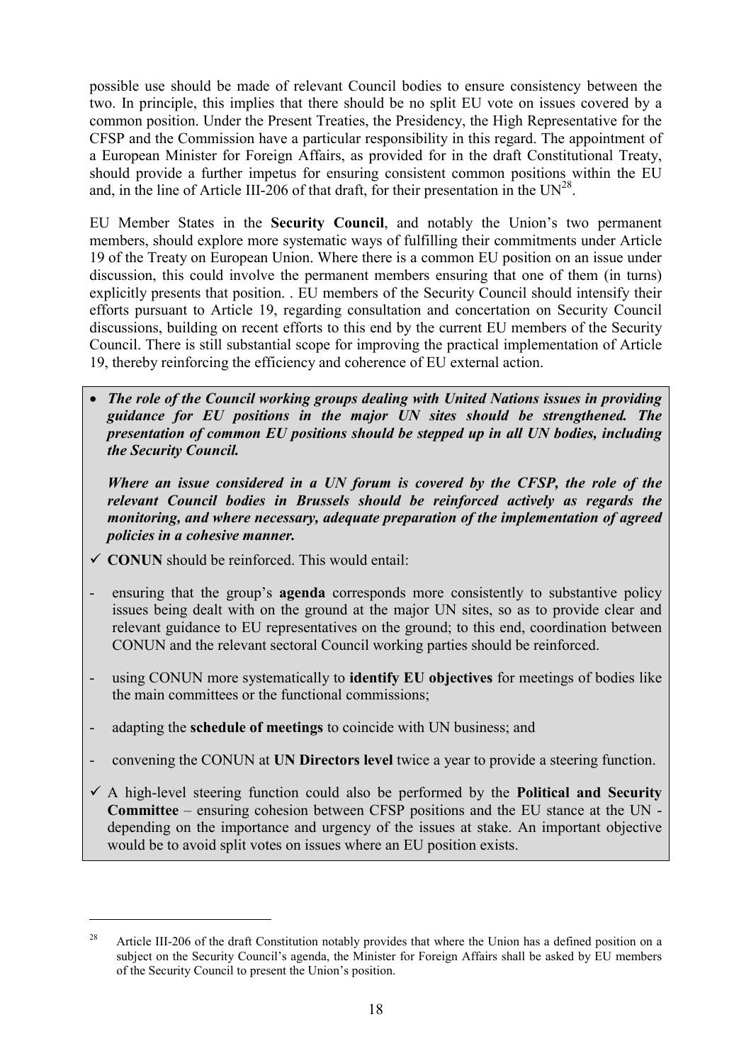possible use should be made of relevant Council bodies to ensure consistency between the two. In principle, this implies that there should be no split EU vote on issues covered by a common position. Under the Present Treaties, the Presidency, the High Representative for the CFSP and the Commission have a particular responsibility in this regard. The appointment of a European Minister for Foreign Affairs, as provided for in the draft Constitutional Treaty, should provide a further impetus for ensuring consistent common positions within the EU and, in the line of Article III-206 of that draft, for their presentation in the  $UN^{28}$ .

EU Member States in the **Security Council**, and notably the Union's two permanent members, should explore more systematic ways of fulfilling their commitments under Article 19 of the Treaty on European Union. Where there is a common EU position on an issue under discussion, this could involve the permanent members ensuring that one of them (in turns) explicitly presents that position. . EU members of the Security Council should intensify their efforts pursuant to Article 19, regarding consultation and concertation on Security Council discussions, building on recent efforts to this end by the current EU members of the Security Council. There is still substantial scope for improving the practical implementation of Article 19, thereby reinforcing the efficiency and coherence of EU external action.

 *The role of the Council working groups dealing with United Nations issues in providing guidance for EU positions in the major UN sites should be strengthened. The presentation of common EU positions should be stepped up in all UN bodies, including the Security Council.*

*Where an issue considered in a UN forum is covered by the CFSP, the role of the relevant Council bodies in Brussels should be reinforced actively as regards the monitoring, and where necessary, adequate preparation of the implementation of agreed policies in a cohesive manner.*

 $\checkmark$  **CONUN** should be reinforced. This would entail:

- ensuring that the group's **agenda** corresponds more consistently to substantive policy issues being dealt with on the ground at the major UN sites, so as to provide clear and relevant guidance to EU representatives on the ground; to this end, coordination between CONUN and the relevant sectoral Council working parties should be reinforced.
- using CONUN more systematically to **identify EU** objectives for meetings of bodies like the main committees or the functional commissions;
- adapting the **schedule of meetings** to coincide with UN business; and
- convening the CONUN at **UN Directors level** twice a year to provide a steering function.
- $\checkmark$  A high-level steering function could also be performed by the **Political and Security Committee** – ensuring cohesion between CFSP positions and the EU stance at the UN depending on the importance and urgency of the issues at stake. An important objective would be to avoid split votes on issues where an EU position exists.

<sup>&</sup>lt;sup>28</sup> Article III-206 of the draft Constitution notably provides that where the Union has a defined position on a subject on the Security Council's agenda, the Minister for Foreign Affairs shall be asked by EU members of the Security Council to present the Union's position.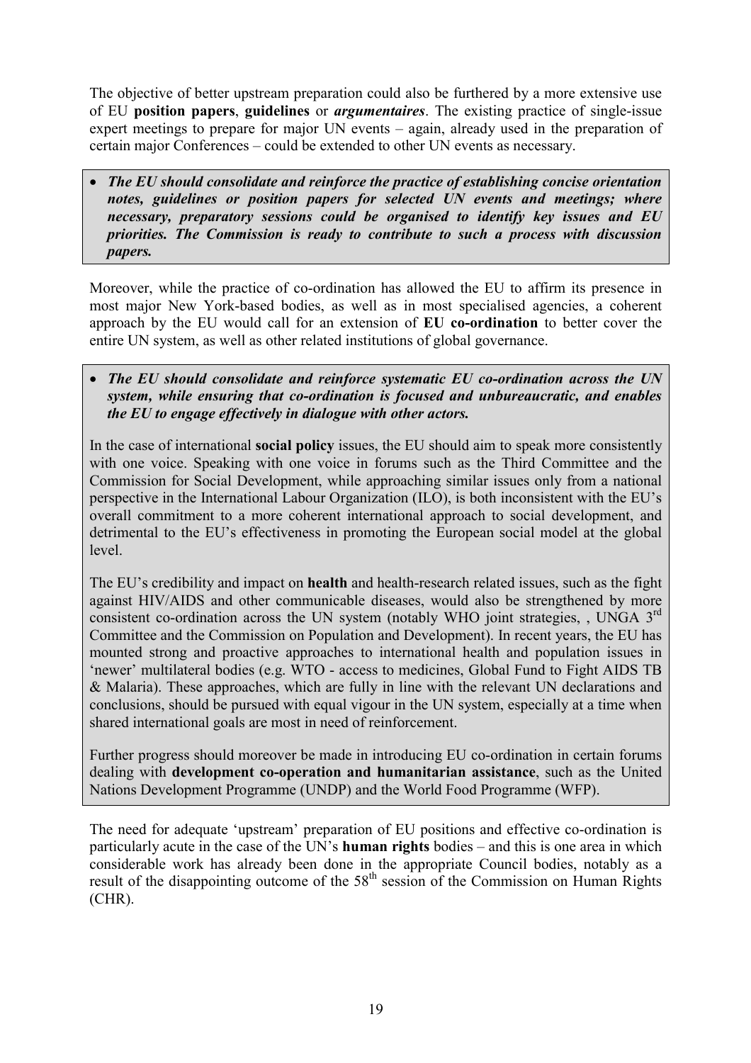The objective of better upstream preparation could also be furthered by a more extensive use of EU **position papers**, **guidelines** or *argumentaires*. The existing practice of single-issue expert meetings to prepare for major UN events – again, already used in the preparation of certain major Conferences – could be extended to other UN events as necessary.

 *The EU should consolidate and reinforce the practice of establishing concise orientation notes, guidelines or position papers for selected UN events and meetings; where necessary, preparatory sessions could be organised to identify key issues and EU priorities. The Commission is ready to contribute to such a process with discussion papers.*

Moreover, while the practice of co-ordination has allowed the EU to affirm its presence in most major New York-based bodies, as well as in most specialised agencies, a coherent approach by the EU would call for an extension of **EU co-ordination** to better cover the entire UN system, as well as other related institutions of global governance.

 *The EU should consolidate and reinforce systematic EU co-ordination across the UN system, while ensuring that co-ordination is focused and unbureaucratic, and enables the EU to engage effectively in dialogue with other actors.*

In the case of international **social policy** issues, the EU should aim to speak more consistently with one voice. Speaking with one voice in forums such as the Third Committee and the Commission for Social Development, while approaching similar issues only from a national perspective in the International Labour Organization (ILO), is both inconsistent with the EU's overall commitment to a more coherent international approach to social development, and detrimental to the EU's effectiveness in promoting the European social model at the global level.

The EU's credibility and impact on **health** and health-research related issues, such as the fight against HIV/AIDS and other communicable diseases, would also be strengthened by more consistent co-ordination across the UN system (notably WHO joint strategies, , UNGA 3<sup>rd</sup> Committee and the Commission on Population and Development). In recent years, the EU has mounted strong and proactive approaches to international health and population issues in 'newer' multilateral bodies (e.g. WTO - access to medicines, Global Fund to Fight AIDS TB & Malaria). These approaches, which are fully in line with the relevant UN declarations and conclusions, should be pursued with equal vigour in the UN system, especially at a time when shared international goals are most in need of reinforcement.

Further progress should moreover be made in introducing EU co-ordination in certain forums dealing with **development co-operation and humanitarian assistance**, such as the United Nations Development Programme (UNDP) and the World Food Programme (WFP).

The need for adequate 'upstream' preparation of EU positions and effective co-ordination is particularly acute in the case of the UN's **human rights** bodies – and this is one area in which considerable work has already been done in the appropriate Council bodies, notably as a result of the disappointing outcome of the  $58<sup>th</sup>$  session of the Commission on Human Rights (CHR).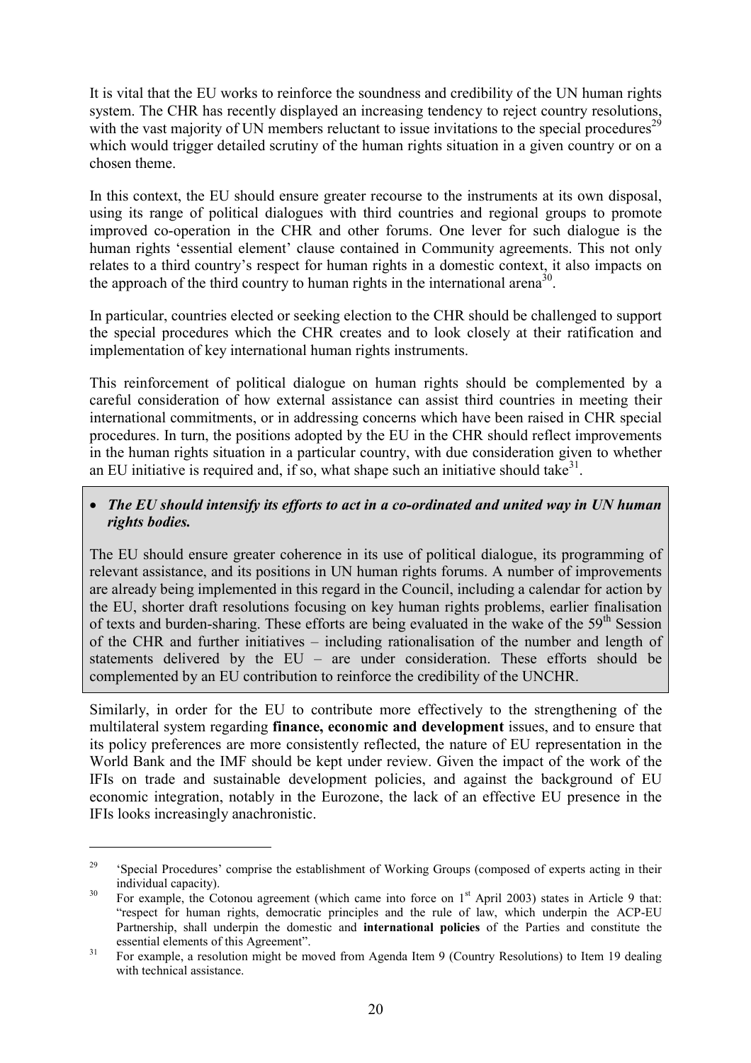It is vital that the EU works to reinforce the soundness and credibility of the UN human rights system. The CHR has recently displayed an increasing tendency to reject country resolutions, with the vast majority of UN members reluctant to issue invitations to the special procedures<sup>29</sup> which would trigger detailed scrutiny of the human rights situation in a given country or on a chosen theme.

In this context, the EU should ensure greater recourse to the instruments at its own disposal, using its range of political dialogues with third countries and regional groups to promote improved co-operation in the CHR and other forums. One lever for such dialogue is the human rights 'essential element' clause contained in Community agreements. This not only relates to a third country's respect for human rights in a domestic context, it also impacts on the approach of the third country to human rights in the international arena<sup>30</sup>.

In particular, countries elected or seeking election to the CHR should be challenged to support the special procedures which the CHR creates and to look closely at their ratification and implementation of key international human rights instruments.

This reinforcement of political dialogue on human rights should be complemented by a careful consideration of how external assistance can assist third countries in meeting their international commitments, or in addressing concerns which have been raised in CHR special procedures. In turn, the positions adopted by the EU in the CHR should reflect improvements in the human rights situation in a particular country, with due consideration given to whether an EU initiative is required and, if so, what shape such an initiative should take<sup>31</sup>.

### *The EU should intensify its efforts to act in a co-ordinated and united way in UN human rights bodies.*

The EU should ensure greater coherence in its use of political dialogue, its programming of relevant assistance, and its positions in UN human rights forums. A number of improvements are already being implemented in this regard in the Council, including a calendar for action by the EU, shorter draft resolutions focusing on key human rights problems, earlier finalisation of texts and burden-sharing. These efforts are being evaluated in the wake of the  $59<sup>th</sup>$  Session of the CHR and further initiatives – including rationalisation of the number and length of statements delivered by the EU – are under consideration. These efforts should be complemented by an EU contribution to reinforce the credibility of the UNCHR.

Similarly, in order for the EU to contribute more effectively to the strengthening of the multilateral system regarding **finance, economic and development** issues, and to ensure that its policy preferences are more consistently reflected, the nature of EU representation in the World Bank and the IMF should be kept under review. Given the impact of the work of the IFIs on trade and sustainable development policies, and against the background of EU economic integration, notably in the Eurozone, the lack of an effective EU presence in the IFIs looks increasingly anachronistic.

<sup>&</sup>lt;sup>29</sup> 'Special Procedures' comprise the establishment of Working Groups (composed of experts acting in their individual capacity).<br><sup>30</sup> For example, the Cotonou agreement (which came into force on  $1<sup>st</sup>$  April 2003) states in Article 9 that:

<sup>&</sup>quot;respect for human rights, democratic principles and the rule of law, which underpin the ACP-EU Partnership, shall underpin the domestic and **international policies** of the Parties and constitute the

essential elements of this Agreement".<br><sup>31</sup> For example, a resolution might be moved from Agenda Item 9 (Country Resolutions) to Item 19 dealing with technical assistance.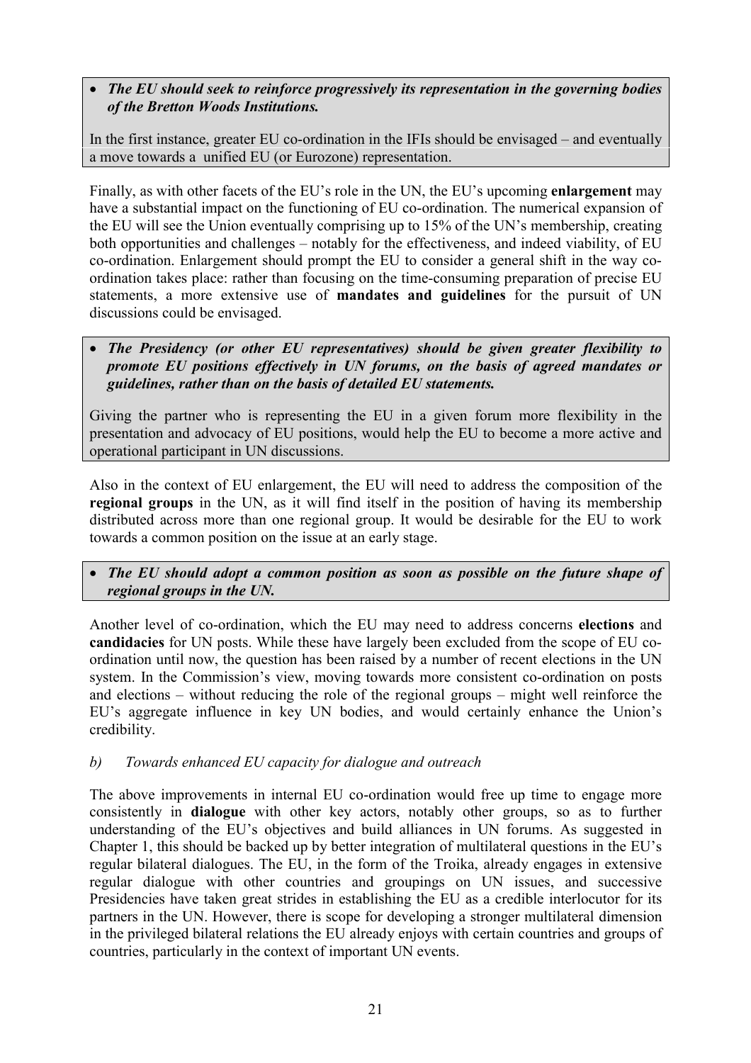## *The EU should seek to reinforce progressively its representation in the governing bodies of the Bretton Woods Institutions.*

In the first instance, greater EU co-ordination in the IFIs should be envisaged – and eventually a move towards a unified EU (or Eurozone) representation.

Finally, as with other facets of the EU's role in the UN, the EU's upcoming **enlargement** may have a substantial impact on the functioning of EU co-ordination. The numerical expansion of the EU will see the Union eventually comprising up to 15% of the UN's membership, creating both opportunities and challenges – notably for the effectiveness, and indeed viability, of EU co-ordination. Enlargement should prompt the EU to consider a general shift in the way coordination takes place: rather than focusing on the time-consuming preparation of precise EU statements, a more extensive use of **mandates and guidelines** for the pursuit of UN discussions could be envisaged.

#### *The Presidency (or other EU representatives) should be given greater flexibility to promote EU positions effectively in UN forums, on the basis of agreed mandates or guidelines, rather than on the basis of detailed EU statements.*

Giving the partner who is representing the EU in a given forum more flexibility in the presentation and advocacy of EU positions, would help the EU to become a more active and operational participant in UN discussions.

Also in the context of EU enlargement, the EU will need to address the composition of the **regional groups** in the UN, as it will find itself in the position of having its membership distributed across more than one regional group. It would be desirable for the EU to work towards a common position on the issue at an early stage.

#### *The EU should adopt a common position as soon as possible on the future shape of regional groups in the UN.*

Another level of co-ordination, which the EU may need to address concerns **elections** and **candidacies** for UN posts. While these have largely been excluded from the scope of EU coordination until now, the question has been raised by a number of recent elections in the UN system. In the Commission's view, moving towards more consistent co-ordination on posts and elections – without reducing the role of the regional groups – might well reinforce the EU's aggregate influence in key UN bodies, and would certainly enhance the Union's credibility.

#### *b) Towards enhanced EU capacity for dialogue and outreach*

The above improvements in internal EU co-ordination would free up time to engage more consistently in **dialogue** with other key actors, notably other groups, so as to further understanding of the EU's objectives and build alliances in UN forums. As suggested in Chapter 1, this should be backed up by better integration of multilateral questions in the EU's regular bilateral dialogues. The EU, in the form of the Troika, already engages in extensive regular dialogue with other countries and groupings on UN issues, and successive Presidencies have taken great strides in establishing the EU as a credible interlocutor for its partners in the UN. However, there is scope for developing a stronger multilateral dimension in the privileged bilateral relations the EU already enjoys with certain countries and groups of countries, particularly in the context of important UN events.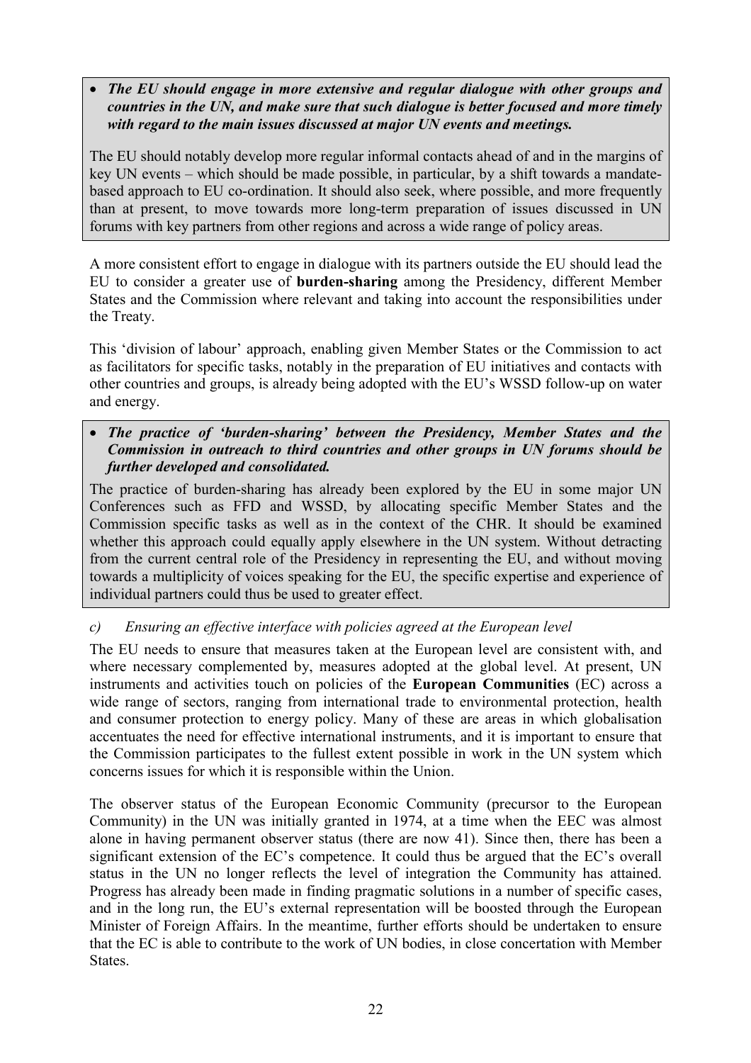#### *The EU should engage in more extensive and regular dialogue with other groups and countries in the UN, and make sure that such dialogue is better focused and more timely with regard to the main issues discussed at major UN events and meetings.*

The EU should notably develop more regular informal contacts ahead of and in the margins of key UN events – which should be made possible, in particular, by a shift towards a mandatebased approach to EU co-ordination. It should also seek, where possible, and more frequently than at present, to move towards more long-term preparation of issues discussed in UN forums with key partners from other regions and across a wide range of policy areas.

A more consistent effort to engage in dialogue with its partners outside the EU should lead the EU to consider a greater use of **burden-sharing** among the Presidency, different Member States and the Commission where relevant and taking into account the responsibilities under the Treaty.

This 'division of labour' approach, enabling given Member States or the Commission to act as facilitators for specific tasks, notably in the preparation of EU initiatives and contacts with other countries and groups, is already being adopted with the EU's WSSD follow-up on water and energy.

## *The practice of 'burden-sharing' between the Presidency, Member States and the Commission in outreach to third countries and other groups in UN forums should be further developed and consolidated.*

The practice of burden-sharing has already been explored by the EU in some major UN Conferences such as FFD and WSSD, by allocating specific Member States and the Commission specific tasks as well as in the context of the CHR. It should be examined whether this approach could equally apply elsewhere in the UN system. Without detracting from the current central role of the Presidency in representing the EU, and without moving towards a multiplicity of voices speaking for the EU, the specific expertise and experience of individual partners could thus be used to greater effect.

## *c) Ensuring an effective interface with policies agreed at the European level*

The EU needs to ensure that measures taken at the European level are consistent with, and where necessary complemented by, measures adopted at the global level. At present, UN instruments and activities touch on policies of the **European Communities** (EC) across a wide range of sectors, ranging from international trade to environmental protection, health and consumer protection to energy policy. Many of these are areas in which globalisation accentuates the need for effective international instruments, and it is important to ensure that the Commission participates to the fullest extent possible in work in the UN system which concerns issues for which it is responsible within the Union.

The observer status of the European Economic Community (precursor to the European Community) in the UN was initially granted in 1974, at a time when the EEC was almost alone in having permanent observer status (there are now 41). Since then, there has been a significant extension of the EC's competence. It could thus be argued that the EC's overall status in the UN no longer reflects the level of integration the Community has attained. Progress has already been made in finding pragmatic solutions in a number of specific cases, and in the long run, the EU's external representation will be boosted through the European Minister of Foreign Affairs. In the meantime, further efforts should be undertaken to ensure that the EC is able to contribute to the work of UN bodies, in close concertation with Member States.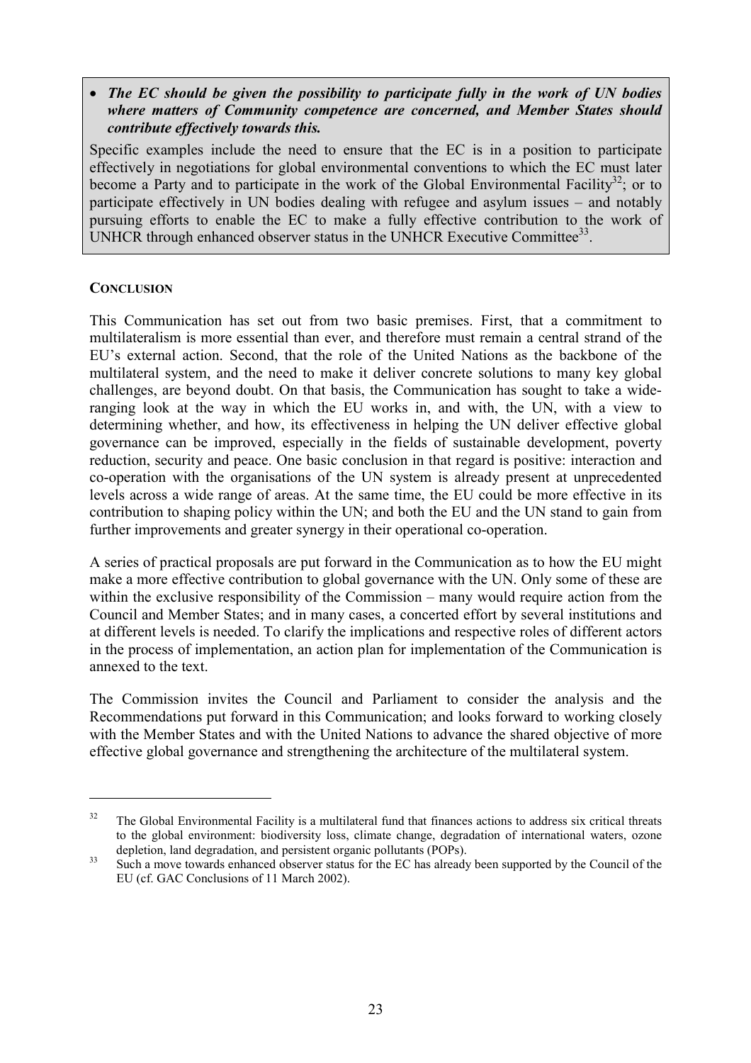#### *The EC should be given the possibility to participate fully in the work of UN bodies where matters of Community competence are concerned, and Member States should contribute effectively towards this.*

Specific examples include the need to ensure that the EC is in a position to participate effectively in negotiations for global environmental conventions to which the EC must later become a Party and to participate in the work of the Global Environmental Facility<sup>32</sup>; or to participate effectively in UN bodies dealing with refugee and asylum issues – and notably pursuing efforts to enable the EC to make a fully effective contribution to the work of UNHCR through enhanced observer status in the UNHCR Executive Committee<sup>33</sup>.

#### **CONCLUSION**

 $\overline{a}$ 

This Communication has set out from two basic premises. First, that a commitment to multilateralism is more essential than ever, and therefore must remain a central strand of the EU's external action. Second, that the role of the United Nations as the backbone of the multilateral system, and the need to make it deliver concrete solutions to many key global challenges, are beyond doubt. On that basis, the Communication has sought to take a wideranging look at the way in which the EU works in, and with, the UN, with a view to determining whether, and how, its effectiveness in helping the UN deliver effective global governance can be improved, especially in the fields of sustainable development, poverty reduction, security and peace. One basic conclusion in that regard is positive: interaction and co-operation with the organisations of the UN system is already present at unprecedented levels across a wide range of areas. At the same time, the EU could be more effective in its contribution to shaping policy within the UN; and both the EU and the UN stand to gain from further improvements and greater synergy in their operational co-operation.

A series of practical proposals are put forward in the Communication as to how the EU might make a more effective contribution to global governance with the UN. Only some of these are within the exclusive responsibility of the Commission – many would require action from the Council and Member States; and in many cases, a concerted effort by several institutions and at different levels is needed. To clarify the implications and respective roles of different actors in the process of implementation, an action plan for implementation of the Communication is annexed to the text.

The Commission invites the Council and Parliament to consider the analysis and the Recommendations put forward in this Communication; and looks forward to working closely with the Member States and with the United Nations to advance the shared objective of more effective global governance and strengthening the architecture of the multilateral system.

<sup>&</sup>lt;sup>32</sup> The Global Environmental Facility is a multilateral fund that finances actions to address six critical threats to the global environment: biodiversity loss, climate change, degradation of international waters, ozone depletion, land degradation, and persistent organic pollutants (POPs).<br><sup>33</sup> Such a move towards enhanced observer status for the EC has already been supported by the Council of the

EU (cf. GAC Conclusions of 11 March 2002).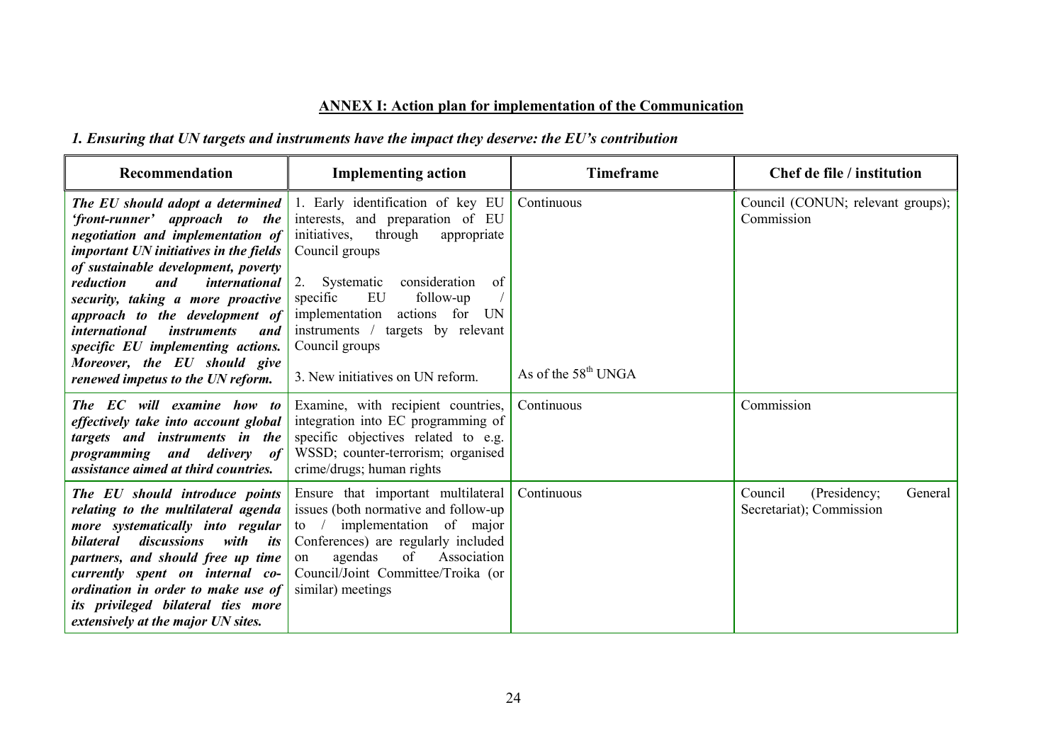## **ANNEX I: Action plan for implementation of the Communication**

## *1. Ensuring that UN targets and instruments have the impact they deserve: the EU's contribution*

| Recommendation                                                                                                                                                                                                                                                                                                                                                                                                                                                      | <b>Implementing action</b>                                                                                                                                                                                                                                                                                                                    | <b>Timeframe</b>                    | Chef de file / institution                                     |
|---------------------------------------------------------------------------------------------------------------------------------------------------------------------------------------------------------------------------------------------------------------------------------------------------------------------------------------------------------------------------------------------------------------------------------------------------------------------|-----------------------------------------------------------------------------------------------------------------------------------------------------------------------------------------------------------------------------------------------------------------------------------------------------------------------------------------------|-------------------------------------|----------------------------------------------------------------|
| The EU should adopt a determined<br>'front-runner' approach to the<br>negotiation and implementation of<br>important UN initiatives in the fields<br>of sustainable development, poverty<br>international<br>reduction<br>and<br>security, taking a more proactive<br>approach to the development of<br><i>international</i><br><i>instruments</i><br>and<br>specific EU implementing actions.<br>Moreover, the EU should give<br>renewed impetus to the UN reform. | 1. Early identification of key EU<br>interests, and preparation of EU<br>initiatives,<br>through<br>appropriate<br>Council groups<br>Systematic<br>consideration<br>of<br>2.<br>EU<br>follow-up<br>specific<br>implementation<br>actions for<br>UN<br>instruments / targets by relevant<br>Council groups<br>3. New initiatives on UN reform. | Continuous<br>As of the $58th$ UNGA | Council (CONUN; relevant groups);<br>Commission                |
| The EC will examine how to<br>effectively take into account global<br>targets and instruments in the<br>programming and delivery<br><i>of</i><br>assistance aimed at third countries.                                                                                                                                                                                                                                                                               | Examine, with recipient countries,<br>integration into EC programming of<br>specific objectives related to e.g.<br>WSSD; counter-terrorism; organised<br>crime/drugs; human rights                                                                                                                                                            | Continuous                          | Commission                                                     |
| The EU should introduce points<br>relating to the multilateral agenda<br>more systematically into regular<br>discussions<br>with its<br><i>bilateral</i><br>partners, and should free up time<br>currently spent on internal co-<br>ordination in order to make use of<br>its privileged bilateral ties more<br>extensively at the major UN sites.                                                                                                                  | Ensure that important multilateral<br>issues (both normative and follow-up<br>of major<br>implementation<br>$\frac{1}{2}$<br>Conferences) are regularly included<br>Association<br>agendas<br>of<br>on<br>Council/Joint Committee/Troika (or<br>similar) meetings                                                                             | Continuous                          | General<br>Council<br>(Presidency;<br>Secretariat); Commission |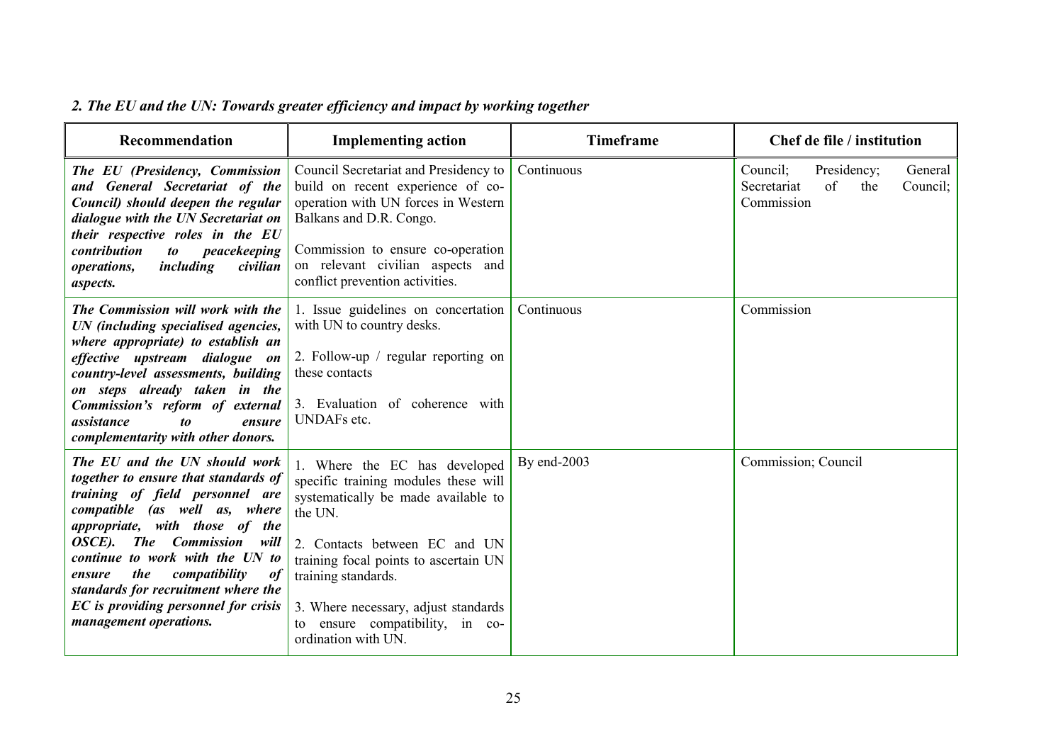| Recommendation                                                                                                                                                                                                                                                                                                                                                                                   | <b>Implementing action</b>                                                                                                                                                                                                                                                                                                    | <b>Timeframe</b> | Chef de file / institution                                                               |
|--------------------------------------------------------------------------------------------------------------------------------------------------------------------------------------------------------------------------------------------------------------------------------------------------------------------------------------------------------------------------------------------------|-------------------------------------------------------------------------------------------------------------------------------------------------------------------------------------------------------------------------------------------------------------------------------------------------------------------------------|------------------|------------------------------------------------------------------------------------------|
| The EU (Presidency, Commission<br>and General Secretariat of the<br>Council) should deepen the regular<br>dialogue with the UN Secretariat on<br>their respective roles in the EU<br>contribution<br>peacekeeping<br>to<br>including<br><i>operations,</i><br>civilian<br>aspects.                                                                                                               | Council Secretariat and Presidency to<br>build on recent experience of co-<br>operation with UN forces in Western<br>Balkans and D.R. Congo.<br>Commission to ensure co-operation<br>on relevant civilian aspects and<br>conflict prevention activities.                                                                      | Continuous       | Council;<br>Presidency;<br>General<br>of<br>Secretariat<br>the<br>Council:<br>Commission |
| The Commission will work with the<br>UN (including specialised agencies,<br>where appropriate) to establish an<br>effective upstream dialogue on<br>country-level assessments, building<br>on steps already taken in the<br>Commission's reform of external<br>assistance<br>$\boldsymbol{to}$<br>ensure<br>complementarity with other donors.                                                   | 1. Issue guidelines on concertation<br>with UN to country desks.<br>2. Follow-up / regular reporting on<br>these contacts<br>3. Evaluation of coherence with<br><b>UNDAFs</b> etc.                                                                                                                                            | Continuous       | Commission                                                                               |
| The EU and the UN should work<br>together to ensure that standards of<br>training of field personnel are<br>compatible (as well as, where<br>appropriate, with those of the<br>The Commission will<br>OSCE).<br>continue to work with the UN to<br>the<br>compatibility<br>ensure<br>of<br>standards for recruitment where the<br>EC is providing personnel for crisis<br>management operations. | 1. Where the EC has developed<br>specific training modules these will<br>systematically be made available to<br>the UN.<br>2. Contacts between EC and UN<br>training focal points to ascertain UN<br>training standards.<br>3. Where necessary, adjust standards<br>ensure compatibility, in co-<br>to<br>ordination with UN. | By end-2003      | Commission; Council                                                                      |

# *2. The EU and the UN: Towards greater efficiency and impact by working together*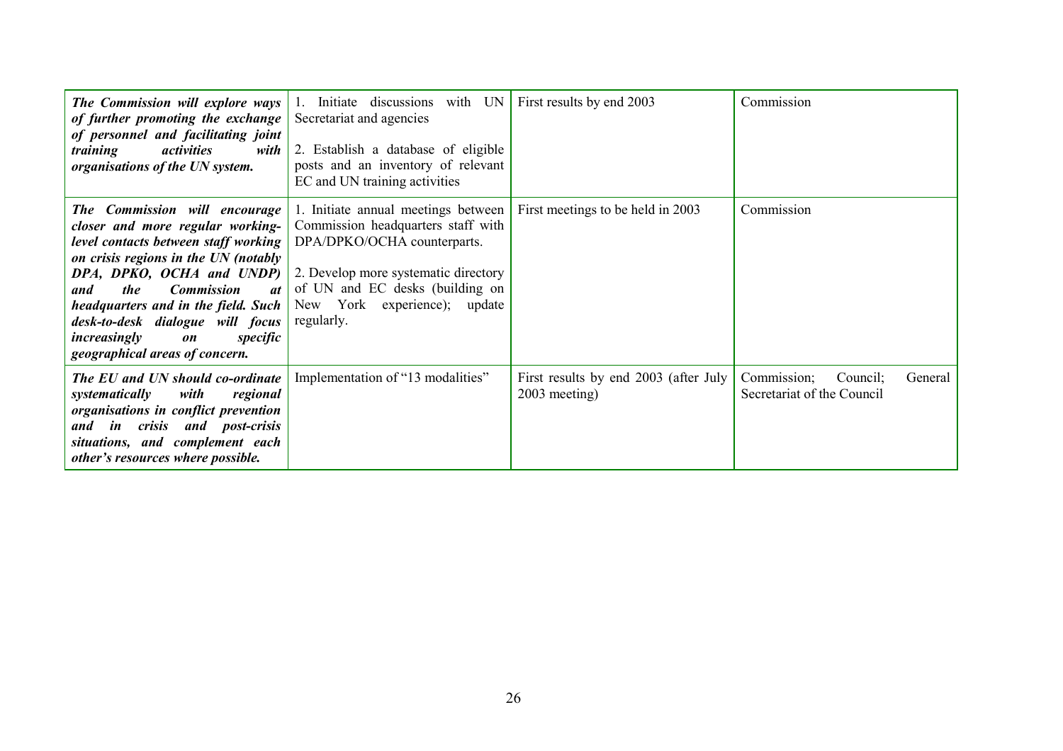| The Commission will explore ways<br>of further promoting the exchange<br>of personnel and facilitating joint<br><i>activities</i><br><i>training</i><br>with<br>organisations of the UN system.                                                                                                                                                                               | with UN<br>1. Initiate discussions<br>Secretariat and agencies<br>2. Establish a database of eligible<br>posts and an inventory of relevant<br>EC and UN training activities                                                      | First results by end 2003                              | Commission                                                       |
|-------------------------------------------------------------------------------------------------------------------------------------------------------------------------------------------------------------------------------------------------------------------------------------------------------------------------------------------------------------------------------|-----------------------------------------------------------------------------------------------------------------------------------------------------------------------------------------------------------------------------------|--------------------------------------------------------|------------------------------------------------------------------|
| The Commission will encourage<br>closer and more regular working-<br>level contacts between staff working<br>on crisis regions in the UN (notably<br>DPA, DPKO, OCHA and UNDP)<br>the<br><b>Commission</b><br><i>at</i><br>and<br>headquarters and in the field. Such<br>desk-to-desk dialogue will focus<br>increasingly<br>specific<br>on<br>geographical areas of concern. | 1. Initiate annual meetings between<br>Commission headquarters staff with<br>DPA/DPKO/OCHA counterparts.<br>2. Develop more systematic directory<br>of UN and EC desks (building on<br>New York experience); update<br>regularly. | First meetings to be held in 2003                      | Commission                                                       |
| The EU and UN should co-ordinate<br>with<br>regional<br>systematically<br>organisations in conflict prevention<br>and in crisis and post-crisis<br>situations, and complement each<br>other's resources where possible.                                                                                                                                                       | Implementation of "13 modalities"                                                                                                                                                                                                 | First results by end 2003 (after July<br>2003 meeting) | Commission;<br>Council:<br>General<br>Secretariat of the Council |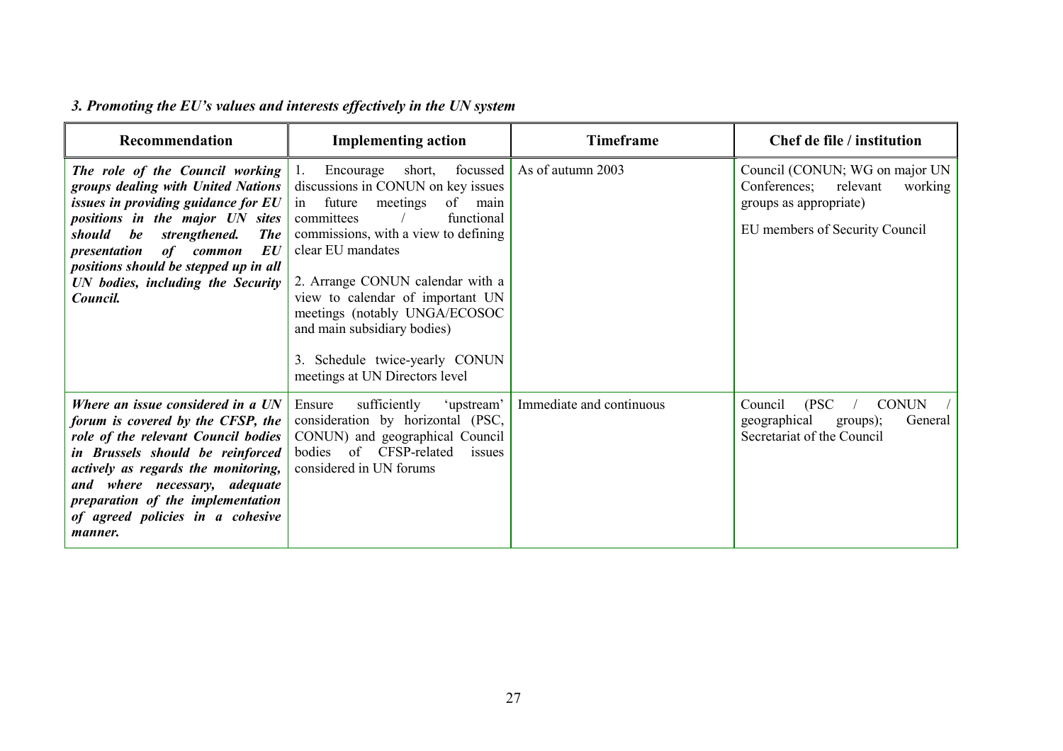| Recommendation                                                                                                                                                                                                                                                                                                                          | <b>Implementing action</b>                                                                                                                                                                                                                                                                                                                                                                                     | <b>Timeframe</b>                   | Chef de file / institution                                                                                                        |
|-----------------------------------------------------------------------------------------------------------------------------------------------------------------------------------------------------------------------------------------------------------------------------------------------------------------------------------------|----------------------------------------------------------------------------------------------------------------------------------------------------------------------------------------------------------------------------------------------------------------------------------------------------------------------------------------------------------------------------------------------------------------|------------------------------------|-----------------------------------------------------------------------------------------------------------------------------------|
| The role of the Council working<br>groups dealing with United Nations<br>issues in providing guidance for EU<br>positions in the major UN sites<br>should<br>be<br>strengthened.<br><b>The</b><br>$\bm{E}\bm{U}$<br>presentation<br>of common<br>positions should be stepped up in all<br>UN bodies, including the Security<br>Council. | Encourage<br>short,<br>1.<br>discussions in CONUN on key issues<br>of<br>future<br>meetings<br>main<br>in<br>functional<br>committees<br>commissions, with a view to defining<br>clear EU mandates<br>2. Arrange CONUN calendar with a<br>view to calendar of important UN<br>meetings (notably UNGA/ECOSOC<br>and main subsidiary bodies)<br>3. Schedule twice-yearly CONUN<br>meetings at UN Directors level | focussed $\vert$ As of autumn 2003 | Council (CONUN; WG on major UN<br>Conferences;<br>relevant<br>working<br>groups as appropriate)<br>EU members of Security Council |
| Where an issue considered in a UN<br>forum is covered by the CFSP, the<br>role of the relevant Council bodies<br>in Brussels should be reinforced<br>actively as regards the monitoring,<br>and where necessary, adequate<br>preparation of the implementation<br>of agreed policies in a cohesive<br><i>manner.</i>                    | sufficiently<br>'upstream'<br>Ensure<br>consideration by horizontal (PSC,<br>CONUN) and geographical Council<br>of<br>CFSP-related<br>bodies<br>issues<br>considered in UN forums                                                                                                                                                                                                                              | Immediate and continuous           | (PSC)<br><b>CONUN</b><br>Council<br>geographical<br>General<br>groups);<br>Secretariat of the Council                             |

# *3. Promoting the EU's values and interests effectively in the UN system*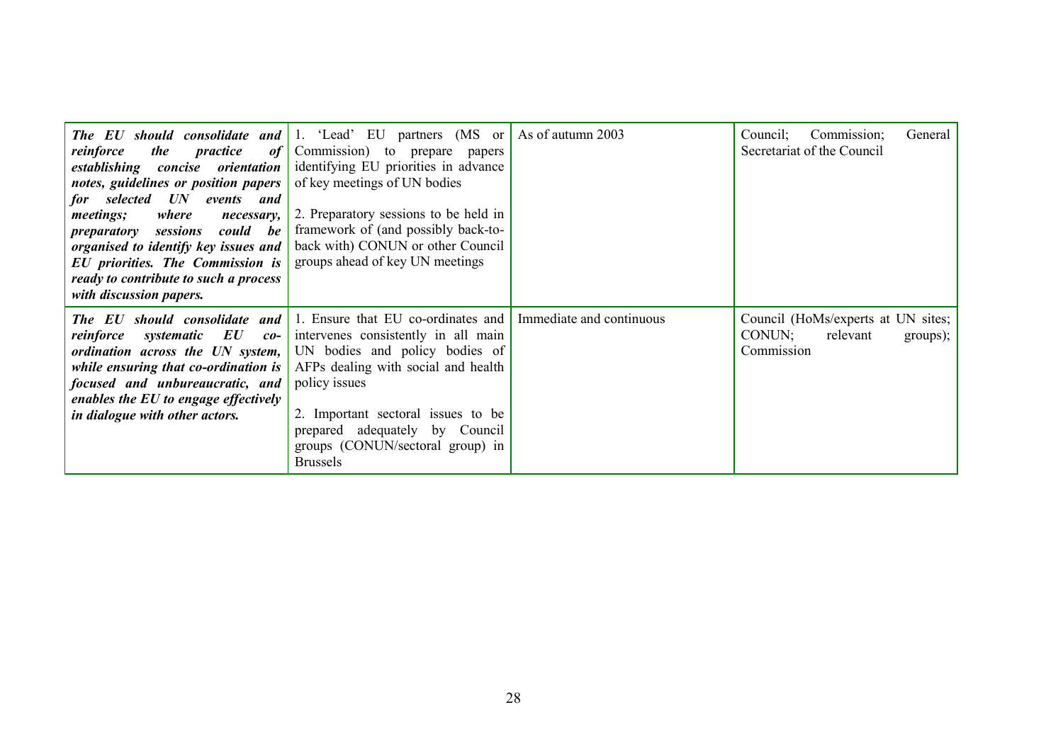| reinforce<br><i>the</i><br>practice<br><i>of</i><br>establishing<br><i>concise orientation</i><br>notes, guidelines or position papers<br>for selected UN<br>events and<br>where<br><i>meetings;</i><br>necessary,<br>could be<br>sessions<br>preparatory<br>organised to identify key issues and<br><b>EU</b> priorities. The Commission is<br>ready to contribute to such a process<br>with discussion papers. | <b>The EU should consolidate and 1.</b> 'Lead' EU partners (MS or As of autumn 2003)<br>Commission) to prepare<br>papers<br>identifying EU priorities in advance<br>of key meetings of UN bodies<br>2. Preparatory sessions to be held in<br>framework of (and possibly back-to-<br>back with) CONUN or other Council<br>groups ahead of key UN meetings |                          | Commission;<br>Council;<br>General<br>Secretariat of the Council                   |
|------------------------------------------------------------------------------------------------------------------------------------------------------------------------------------------------------------------------------------------------------------------------------------------------------------------------------------------------------------------------------------------------------------------|----------------------------------------------------------------------------------------------------------------------------------------------------------------------------------------------------------------------------------------------------------------------------------------------------------------------------------------------------------|--------------------------|------------------------------------------------------------------------------------|
| The EU should consolidate and<br>systematic EU<br>reinforce<br>$co-$<br>ordination across the UN system,<br>while ensuring that co-ordination is<br>focused and unbureaucratic, and<br>enables the EU to engage effectively<br>in dialogue with other actors.                                                                                                                                                    | 1. Ensure that EU co-ordinates and<br>intervenes consistently in all main<br>UN bodies and policy bodies of<br>AFPs dealing with social and health<br>policy issues<br>2. Important sectoral issues to be<br>prepared adequately by Council<br>groups (CONUN/sectoral group) in<br><b>Brussels</b>                                                       | Immediate and continuous | Council (HoMs/experts at UN sites;<br>CONUN;<br>relevant<br>groups);<br>Commission |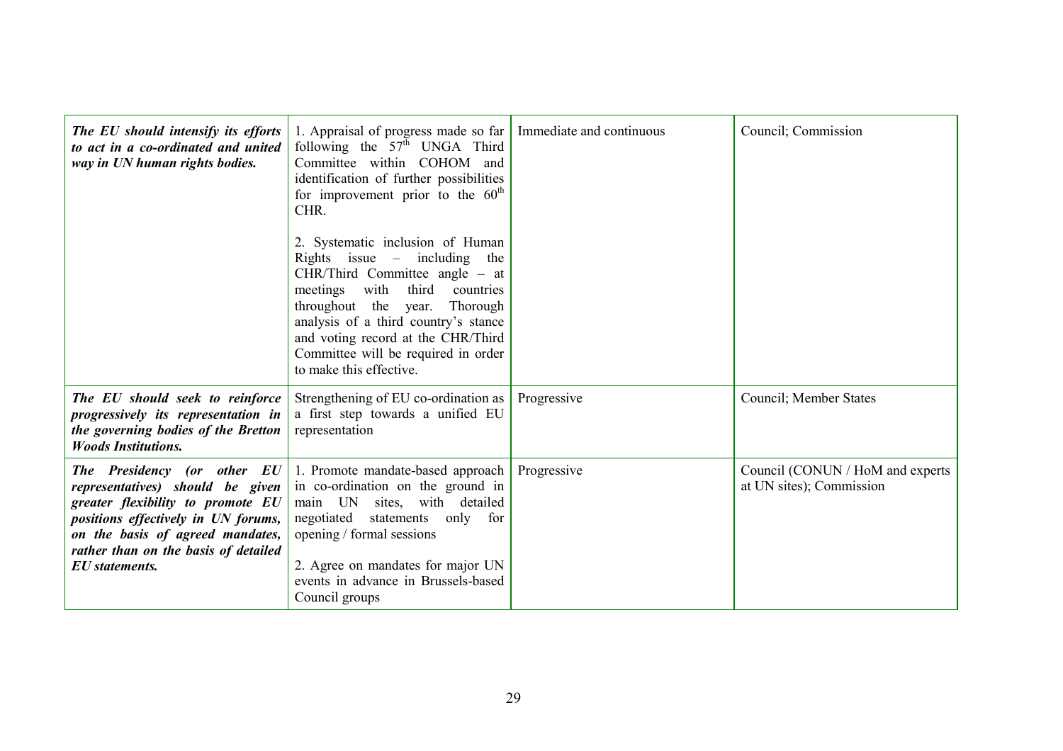| The EU should intensify its efforts<br>to act in a co-ordinated and united<br>way in UN human rights bodies.                                                                                                                                     | 1. Appraisal of progress made so far<br>following the $57th$ UNGA Third<br>Committee within COHOM<br>and<br>identification of further possibilities<br>for improvement prior to the $60th$<br>CHR.<br>2. Systematic inclusion of Human<br>Rights issue $-$ including<br>the<br>$CHR/Third$ Committee angle – at<br>third<br>meetings with<br>countries<br>throughout the year.<br>Thorough<br>analysis of a third country's stance<br>and voting record at the CHR/Third<br>Committee will be required in order<br>to make this effective. | Immediate and continuous | Council; Commission                                          |
|--------------------------------------------------------------------------------------------------------------------------------------------------------------------------------------------------------------------------------------------------|--------------------------------------------------------------------------------------------------------------------------------------------------------------------------------------------------------------------------------------------------------------------------------------------------------------------------------------------------------------------------------------------------------------------------------------------------------------------------------------------------------------------------------------------|--------------------------|--------------------------------------------------------------|
| The EU should seek to reinforce<br>progressively its representation in<br>the governing bodies of the Bretton<br><b>Woods Institutions.</b>                                                                                                      | Strengthening of EU co-ordination as<br>a first step towards a unified EU<br>representation                                                                                                                                                                                                                                                                                                                                                                                                                                                | Progressive              | Council; Member States                                       |
| The Presidency (or other EU<br>representatives) should be given<br>greater flexibility to promote EU<br>positions effectively in UN forums,<br>on the basis of agreed mandates,<br>rather than on the basis of detailed<br><b>EU</b> statements. | 1. Promote mandate-based approach<br>in co-ordination on the ground in<br>main UN<br>sites, with detailed<br>negotiated<br>statements<br>only for<br>opening / formal sessions<br>2. Agree on mandates for major UN<br>events in advance in Brussels-based<br>Council groups                                                                                                                                                                                                                                                               | Progressive              | Council (CONUN / HoM and experts<br>at UN sites); Commission |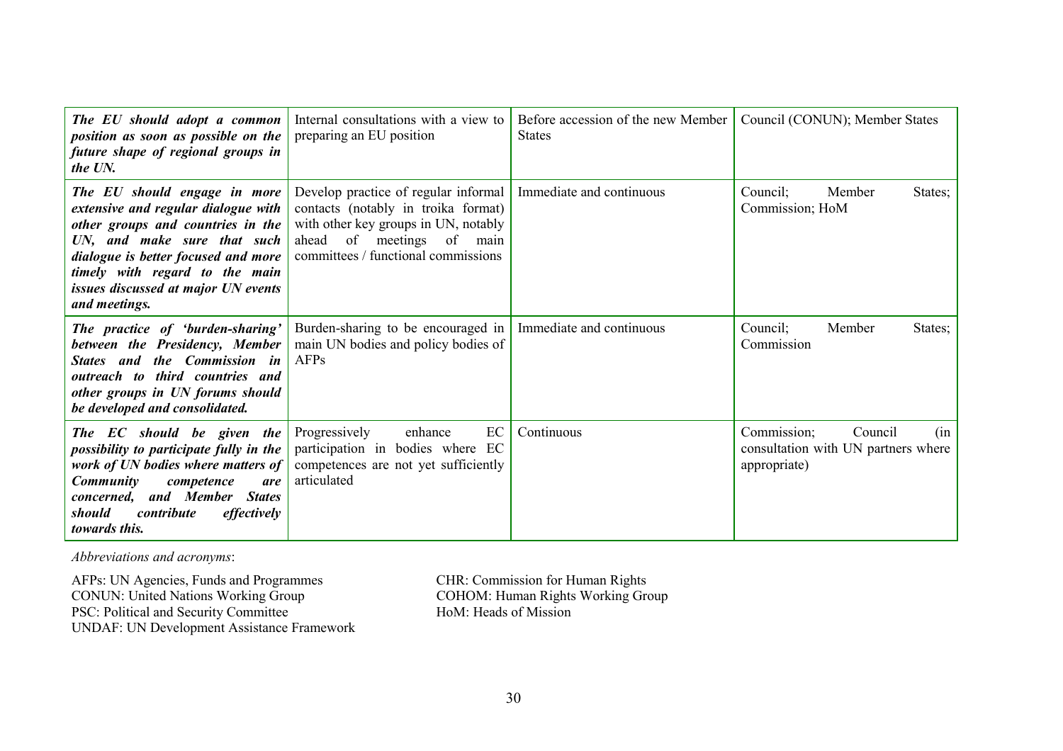| The EU should adopt a common<br>position as soon as possible on the<br>future shape of regional groups in<br>the UN.                                                                                                                                                     | Internal consultations with a view to<br>preparing an EU position                                                                                                                             | Before accession of the new Member<br><b>States</b> | Council (CONUN); Member States                                                       |
|--------------------------------------------------------------------------------------------------------------------------------------------------------------------------------------------------------------------------------------------------------------------------|-----------------------------------------------------------------------------------------------------------------------------------------------------------------------------------------------|-----------------------------------------------------|--------------------------------------------------------------------------------------|
| The EU should engage in more<br>extensive and regular dialogue with<br>other groups and countries in the<br>UN, and make sure that such<br>dialogue is better focused and more<br>timely with regard to the main<br>issues discussed at major UN events<br>and meetings. | Develop practice of regular informal<br>contacts (notably in troika format)<br>with other key groups in UN, notably<br>of meetings<br>ahead<br>of main<br>committees / functional commissions | Immediate and continuous                            | Member<br>Council;<br>States;<br>Commission; HoM                                     |
| The practice of 'burden-sharing'<br>between the Presidency, Member<br>and<br>the Commission in<br><i><b>States</b></i><br>outreach to third countries and<br>other groups in UN forums should<br>be developed and consolidated.                                          | Burden-sharing to be encouraged in<br>main UN bodies and policy bodies of<br>AFPs                                                                                                             | Immediate and continuous                            | Council;<br>Member<br>States;<br>Commission                                          |
| The EC should be given the<br>possibility to participate fully in the<br>work of UN bodies where matters of<br><b>Community</b><br>competence<br>are<br>and Member<br><b>States</b><br>concerned,<br>should<br>contribute<br>effectively<br>towards this.                | Progressively<br>enhance<br>EC<br>participation in bodies where EC<br>competences are not yet sufficiently<br>articulated                                                                     | Continuous                                          | Council<br>Commission;<br>(in<br>consultation with UN partners where<br>appropriate) |

*Abbreviations and acronyms*:

AFPs: UN Agencies, Funds and Programmes CHR: Commission for Human Rights CONUN: United Nations Working Group COHOM: Human Rights Working Group PSC: Political and Security Committee HoM: Heads of Mission UNDAF: UN Development Assistance Framework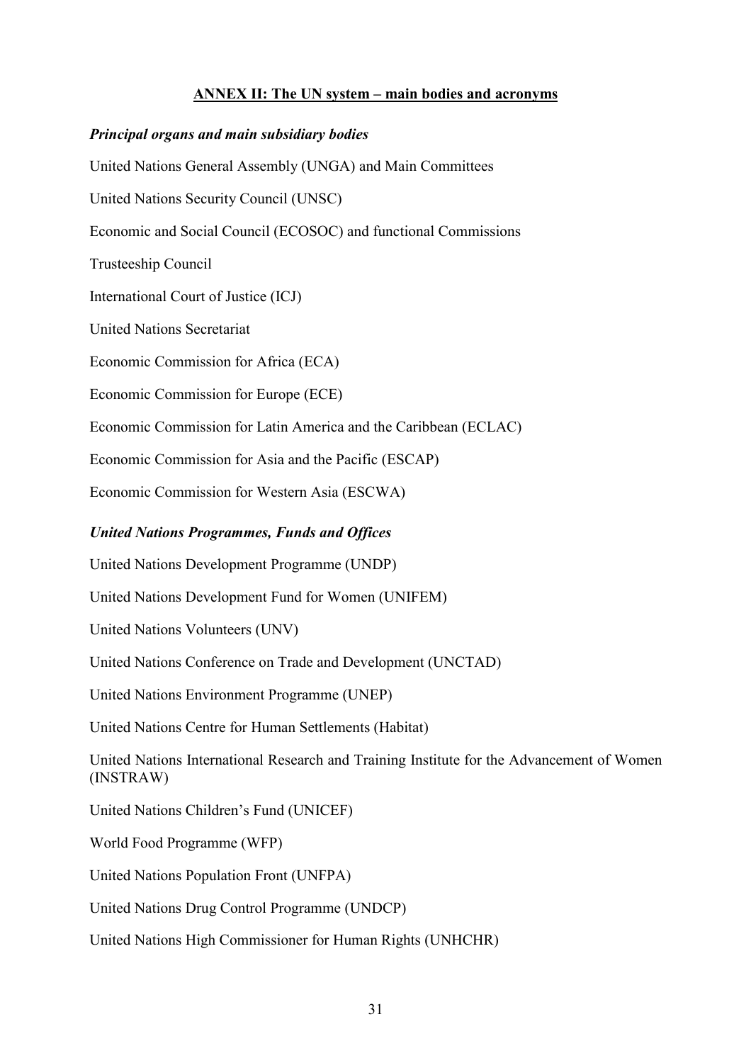### **ANNEX II: The UN system – main bodies and acronyms**

#### *Principal organs and main subsidiary bodies*

United Nations General Assembly (UNGA) and Main Committees

United Nations Security Council (UNSC)

Economic and Social Council (ECOSOC) and functional Commissions

Trusteeship Council

International Court of Justice (ICJ)

United Nations Secretariat

Economic Commission for Africa (ECA)

Economic Commission for Europe (ECE)

Economic Commission for Latin America and the Caribbean (ECLAC)

Economic Commission for Asia and the Pacific (ESCAP)

Economic Commission for Western Asia (ESCWA)

## *United Nations Programmes, Funds and Offices*

United Nations Development Programme (UNDP)

United Nations Development Fund for Women (UNIFEM)

United Nations Volunteers (UNV)

United Nations Conference on Trade and Development (UNCTAD)

United Nations Environment Programme (UNEP)

United Nations Centre for Human Settlements (Habitat)

United Nations International Research and Training Institute for the Advancement of Women (INSTRAW)

United Nations Children's Fund (UNICEF)

World Food Programme (WFP)

United Nations Population Front (UNFPA)

United Nations Drug Control Programme (UNDCP)

United Nations High Commissioner for Human Rights (UNHCHR)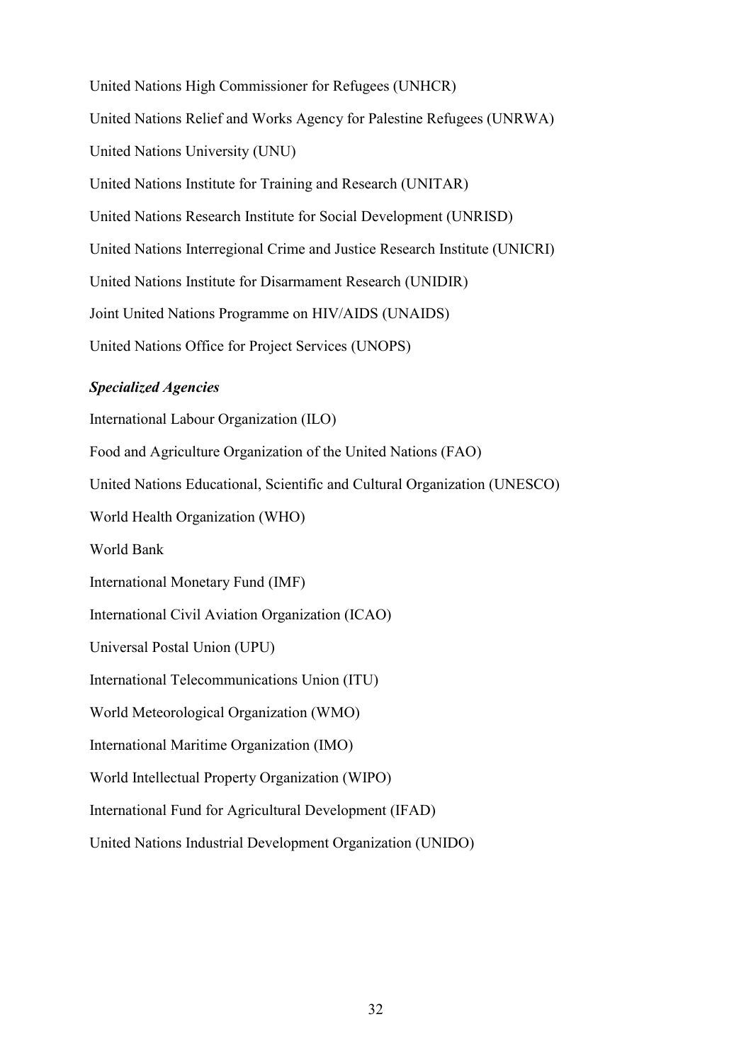United Nations High Commissioner for Refugees (UNHCR) United Nations Relief and Works Agency for Palestine Refugees (UNRWA) United Nations University (UNU) United Nations Institute for Training and Research (UNITAR) United Nations Research Institute for Social Development (UNRISD) United Nations Interregional Crime and Justice Research Institute (UNICRI) United Nations Institute for Disarmament Research (UNIDIR) Joint United Nations Programme on HIV/AIDS (UNAIDS) United Nations Office for Project Services (UNOPS)

#### *Specialized Agencies*

International Labour Organization (ILO) Food and Agriculture Organization of the United Nations (FAO) United Nations Educational, Scientific and Cultural Organization (UNESCO) World Health Organization (WHO) World Bank International Monetary Fund (IMF) International Civil Aviation Organization (ICAO) Universal Postal Union (UPU) International Telecommunications Union (ITU) World Meteorological Organization (WMO) International Maritime Organization (IMO) World Intellectual Property Organization (WIPO) International Fund for Agricultural Development (IFAD)

United Nations Industrial Development Organization (UNIDO)